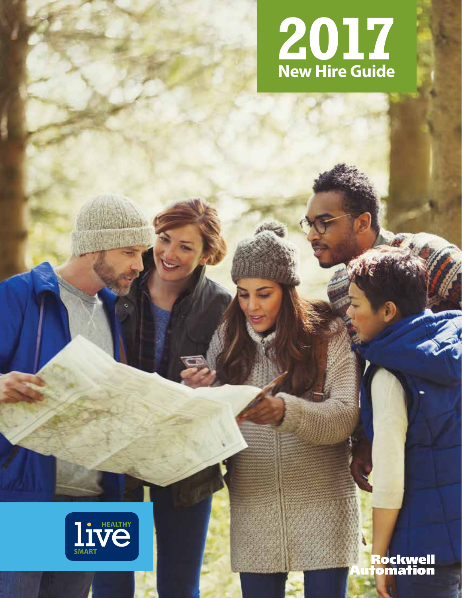



Rockwell<br>¦omation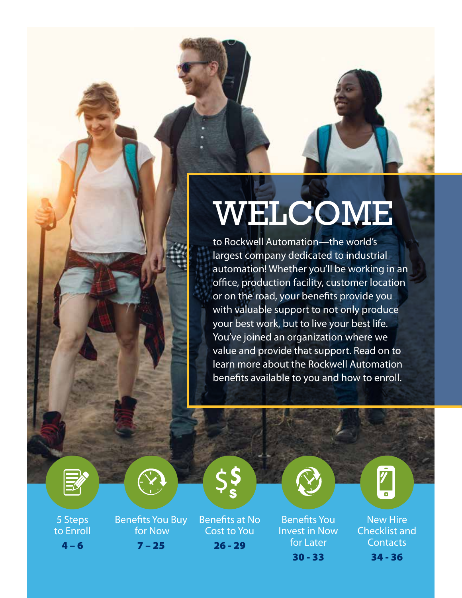## WELCOME

to Rockwell Automation—the world's largest company dedicated to industrial automation! Whether you'll be working in an office, production facility, customer location or on the road, your benefits provide you with valuable support to not only produce your best work, but to live your best life. You've joined an organization where we value and provide that support. Read on to learn more about the Rockwell Automation benefits available to you and how to enroll.





5 Steps to Enroll  $4 - 6$ 

Benefits You Buy for Now  $7 - 25$ 

Benefits at No Cost to You 26 - 29



Benefits You Invest in Now for Later 30 - 33

New Hire Checklist and **Contacts** 34 - 36

 $\bar{\bf y}$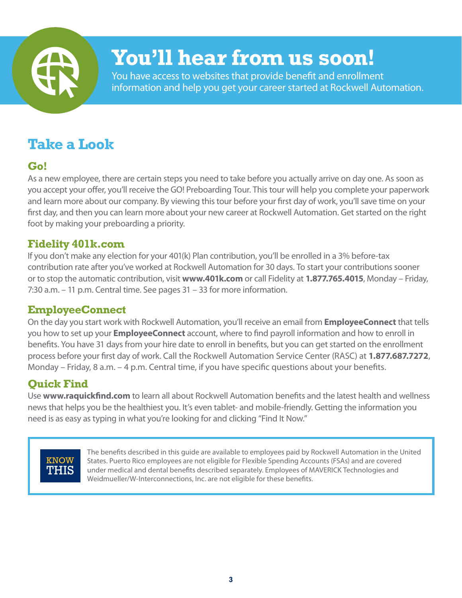

### **You'll hear from us soon!**

You have access to websites that provide benefit and enrollment information and help you get your career started at Rockwell Automation.

### **Take a Look**

#### **Go!**

As a new employee, there are certain steps you need to take before you actually arrive on day one. As soon as you accept your offer, you'll receive the GO! Preboarding Tour. This tour will help you complete your paperwork and learn more about our company. By viewing this tour before your first day of work, you'll save time on your first day, and then you can learn more about your new career at Rockwell Automation. Get started on the right foot by making your preboarding a priority.

#### **Fidelity 401k.com**

If you don't make any election for your 401(k) Plan contribution, you'll be enrolled in a 3% before-tax contribution rate after you've worked at Rockwell Automation for 30 days. To start your contributions sooner or to stop the automatic contribution, visit **www.401k.com** or call Fidelity at **1.877.765.4015**, Monday – Friday, 7:30 a.m. – 11 p.m. Central time. See pages 31 – 33 for more information.

#### **EmployeeConnect**

On the day you start work with Rockwell Automation, you'll receive an email from **EmployeeConnect** that tells you how to set up your **EmployeeConnect** account, where to find payroll information and how to enroll in benefits. You have 31 days from your hire date to enroll in benefits, but you can get started on the enrollment process before your first day of work. Call the Rockwell Automation Service Center (RASC) at **1.877.687.7272**, Monday – Friday, 8 a.m. – 4 p.m. Central time, if you have specific questions about your benefits.

#### **Quick Find**

Use **www.raquickfind.com** to learn all about Rockwell Automation benefits and the latest health and wellness news that helps you be the healthiest you. It's even tablet- and mobile-friendly. Getting the information you need is as easy as typing in what you're looking for and clicking "Find It Now."

### **KNOW** THIS

The benefits described in this guide are available to employees paid by Rockwell Automation in the United States. Puerto Rico employees are not eligible for Flexible Spending Accounts (FSAs) and are covered under medical and dental benefits described separately. Employees of MAVERICK Technologies and Weidmueller/W-Interconnections, Inc. are not eligible for these benefits.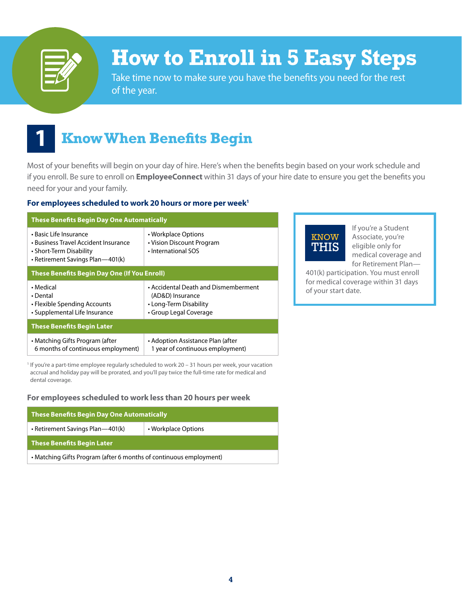

### **How to Enroll in 5 Easy Steps**

Take time now to make sure you have the benefits you need for the rest of the year.

### **1 Know When Benefits Begin**

Most of your benefits will begin on your day of hire. Here's when the benefits begin based on your work schedule and if you enroll. Be sure to enroll on **EmployeeConnect** within 31 days of your hire date to ensure you get the benefits you need for your and your family.

#### **For employees scheduled to work 20 hours or more per week1**

| <b>These Benefits Begin Day One Automatically</b>                                                                             |                                                                                                              |  |  |  |  |
|-------------------------------------------------------------------------------------------------------------------------------|--------------------------------------------------------------------------------------------------------------|--|--|--|--|
| • Basic Life Insurance<br>• Business Travel Accident Insurance<br>• Short-Term Disability<br>• Retirement Savings Plan—401(k) | • Workplace Options<br>• Vision Discount Program<br>• International SOS                                      |  |  |  |  |
| <b>These Benefits Begin Day One (If You Enroll)</b>                                                                           |                                                                                                              |  |  |  |  |
| • Medical<br>• Dental<br>• Flexible Spending Accounts<br>• Supplemental Life Insurance                                        | • Accidental Death and Dismemberment<br>(AD&D) Insurance<br>• Long-Term Disability<br>• Group Legal Coverage |  |  |  |  |
| <b>These Benefits Begin Later</b>                                                                                             |                                                                                                              |  |  |  |  |
| • Matching Gifts Program (after<br>6 months of continuous employment)                                                         | • Adoption Assistance Plan (after<br>1 year of continuous employment)                                        |  |  |  |  |

<sup>1</sup> If you're a part-time employee regularly scheduled to work 20 - 31 hours per week, your vacation accrual and holiday pay will be prorated, and you'll pay twice the full-time rate for medical and dental coverage.

#### **For employees scheduled to work less than 20 hours per week**

| <b>These Benefits Begin Day One Automatically</b>                  |                     |  |  |  |
|--------------------------------------------------------------------|---------------------|--|--|--|
| • Retirement Savings Plan—401(k)                                   | • Workplace Options |  |  |  |
| <b>These Benefits Begin Later</b>                                  |                     |  |  |  |
| • Matching Gifts Program (after 6 months of continuous employment) |                     |  |  |  |



If you're a Student Associate, you're eligible only for medical coverage and for Retirement Plan—

401(k) participation. You must enroll for medical coverage within 31 days of your start date.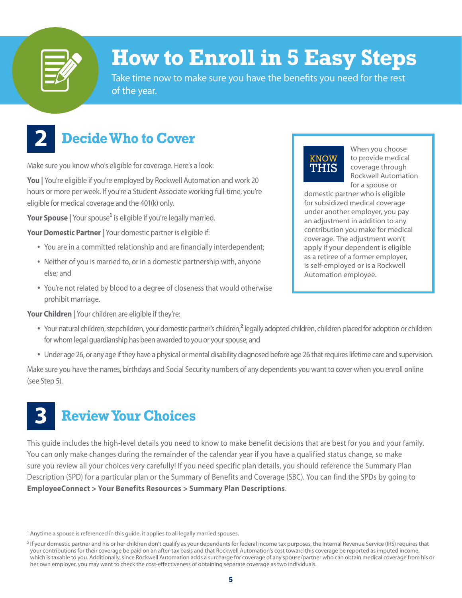

### **How to Enroll in 5 Easy Steps**

Take time now to make sure you have the benefits you need for the rest of the year.

### **2 Decide Who to Cover**

Make sure you know who's eligible for coverage. Here's a look:

**You |** You're eligible if you're employed by Rockwell Automation and work 20 hours or more per week. If you're a Student Associate working full-time, you're eligible for medical coverage and the 401(k) only.

**Your Spouse |** Your spouse**<sup>1</sup>** is eligible if you're legally married.

**Your Domestic Partner |** Your domestic partner is eligible if:

- You are in a committed relationship and are financially interdependent;
- Neither of you is married to, or in a domestic partnership with, anyone else; and
- You're not related by blood to a degree of closeness that would otherwise prohibit marriage.

**Your Children |** Your children are eligible if they're:



When you choose to provide medical coverage through Rockwell Automation for a spouse or

domestic partner who is eligible for subsidized medical coverage under another employer, you pay an adjustment in addition to any contribution you make for medical coverage. The adjustment won't apply if your dependent is eligible as a retiree of a former employer, is self-employed or is a Rockwell Automation employee.

- Your natural children, stepchildren, your domestic partner's children,<sup>2</sup> legally adopted children, children placed for adoption or children for whom legal guardianship has been awarded to you or your spouse; and
- Under age 26, or any age if they have a physical or mental disability diagnosed before age 26 that requires lifetime care and supervision.

Make sure you have the names, birthdays and Social Security numbers of any dependents you want to cover when you enroll online (see Step 5).

### **3 Review Your Choices**

This guide includes the high-level details you need to know to make benefit decisions that are best for you and your family. You can only make changes during the remainder of the calendar year if you have a qualified status change, so make sure you review all your choices very carefully! If you need specific plan details, you should reference the Summary Plan Description (SPD) for a particular plan or the Summary of Benefits and Coverage (SBC). You can find the SPDs by going to **EmployeeConnect > Your Benefits Resources > Summary Plan Descriptions**.

<sup>1</sup> Anytime a spouse is referenced in this guide, it applies to all legally married spouses.

<sup>&</sup>lt;sup>2</sup> If your domestic partner and his or her children don't qualify as your dependents for federal income tax purposes, the Internal Revenue Service (IRS) requires that your contributions for their coverage be paid on an after-tax basis and that Rockwell Automation's cost toward this coverage be reported as imputed income, which is taxable to you. Additionally, since Rockwell Automation adds a surcharge for coverage of any spouse/partner who can obtain medical coverage from his or her own employer, you may want to check the cost-effectiveness of obtaining separate coverage as two individuals.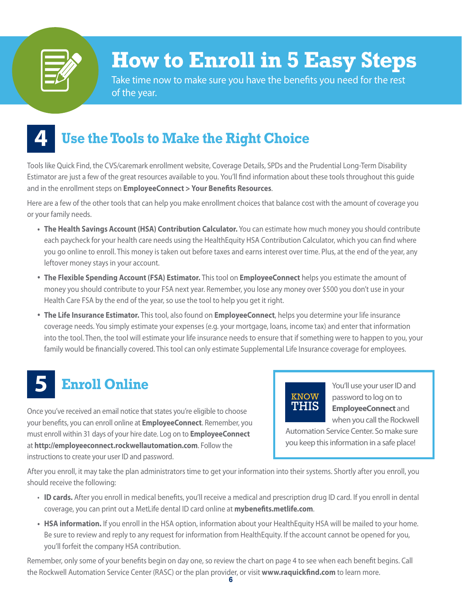

### **How to Enroll in 5 Easy Steps**

Take time now to make sure you have the benefits you need for the rest of the year.

### **4 Use the Tools to Make the Right Choice**

Tools like Quick Find, the CVS/caremark enrollment website, Coverage Details, SPDs and the Prudential Long-Term Disability Estimator are just a few of the great resources available to you. You'll find information about these tools throughout this guide and in the enrollment steps on **EmployeeConnect > Your Benefits Resources**.

Here are a few of the other tools that can help you make enrollment choices that balance cost with the amount of coverage you or your family needs.

- **• The Health Savings Account (HSA) Contribution Calculator.** You can estimate how much money you should contribute each paycheck for your health care needs using the HealthEquity HSA Contribution Calculator, which you can find where you go online to enroll. This money is taken out before taxes and earns interest over time. Plus, at the end of the year, any leftover money stays in your account.
- **The Flexible Spending Account (FSA) Estimator.** This tool on **EmployeeConnect** helps you estimate the amount of money you should contribute to your FSA next year. Remember, you lose any money over \$500 you don't use in your Health Care FSA by the end of the year, so use the tool to help you get it right.
- **The Life Insurance Estimator.** This tool, also found on **EmployeeConnect**, helps you determine your life insurance coverage needs. You simply estimate your expenses (e.g. your mortgage, loans, income tax) and enter that information into the tool. Then, the tool will estimate your life insurance needs to ensure that if something were to happen to you, your family would be financially covered. This tool can only estimate Supplemental Life Insurance coverage for employees.

### **5 Enroll Online**

Once you've received an email notice that states you're eligible to choose your benefits, you can enroll online at **EmployeeConnect**. Remember, you must enroll within 31 days of your hire date. Log on to **EmployeeConnect** at **http://employeeconnect.rockwellautomation.com**. Follow the instructions to create your user ID and password.



You'll use your user ID and password to log on to **EmployeeConnect** and when you call the Rockwell

Automation Service Center. So make sure you keep this information in a safe place!

After you enroll, it may take the plan administrators time to get your information into their systems. Shortly after you enroll, you should receive the following:

- **ID cards.** After you enroll in medical benefits, you'll receive a medical and prescription drug ID card. If you enroll in dental coverage, you can print out a MetLife dental ID card online at **mybenefits.metlife.com**.
- **• HSA information.** If you enroll in the HSA option, information about your HealthEquity HSA will be mailed to your home. Be sure to review and reply to any request for information from HealthEquity. If the account cannot be opened for you, you'll forfeit the company HSA contribution.

Remember, only some of your benefits begin on day one, so review the chart on page 4 to see when each benefit begins. Call the Rockwell Automation Service Center (RASC) or the plan provider, or visit **www.raquickfind.com** to learn more.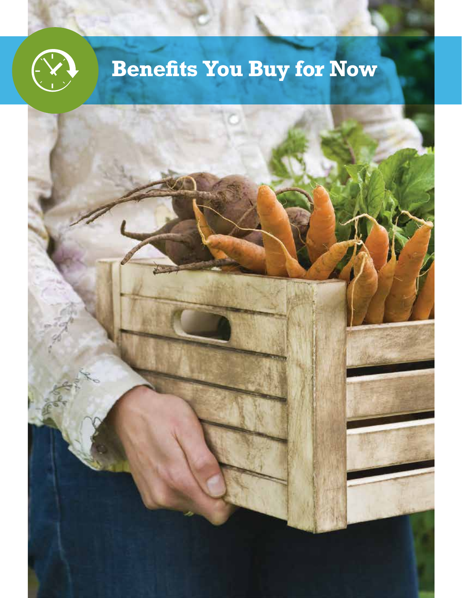## **Benefits You Buy for Now**

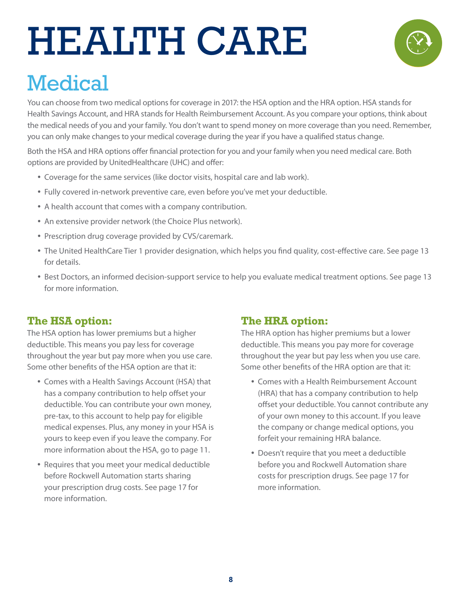# HEALTH CARE



### **Medical**

You can choose from two medical options for coverage in 2017: the HSA option and the HRA option. HSA stands for Health Savings Account, and HRA stands for Health Reimbursement Account. As you compare your options, think about the medical needs of you and your family. You don't want to spend money on more coverage than you need. Remember, you can only make changes to your medical coverage during the year if you have a qualified status change.

Both the HSA and HRA options offer financial protection for you and your family when you need medical care. Both options are provided by UnitedHealthcare (UHC) and offer:

- Coverage for the same services (like doctor visits, hospital care and lab work).
- Fully covered in-network preventive care, even before you've met your deductible.
- A health account that comes with a company contribution.
- An extensive provider network (the Choice Plus network).
- Prescription drug coverage provided by CVS/caremark.
- The United HealthCare Tier 1 provider designation, which helps you find quality, cost-effective care. See page 13 for details.
- Best Doctors, an informed decision-support service to help you evaluate medical treatment options. See page 13 for more information.

#### **The HSA option:**

The HSA option has lower premiums but a higher deductible. This means you pay less for coverage throughout the year but pay more when you use care. Some other benefits of the HSA option are that it:

- Comes with a Health Savings Account (HSA) that has a company contribution to help offset your deductible. You can contribute your own money, pre-tax, to this account to help pay for eligible medical expenses. Plus, any money in your HSA is yours to keep even if you leave the company. For more information about the HSA, go to page 11.
- Requires that you meet your medical deductible before Rockwell Automation starts sharing your prescription drug costs. See page 17 for more information.

#### **The HRA option:**

The HRA option has higher premiums but a lower deductible. This means you pay more for coverage throughout the year but pay less when you use care. Some other benefits of the HRA option are that it:

- Comes with a Health Reimbursement Account (HRA) that has a company contribution to help offset your deductible. You cannot contribute any of your own money to this account. If you leave the company or change medical options, you forfeit your remaining HRA balance.
- Doesn't require that you meet a deductible before you and Rockwell Automation share costs for prescription drugs. See page 17 for more information.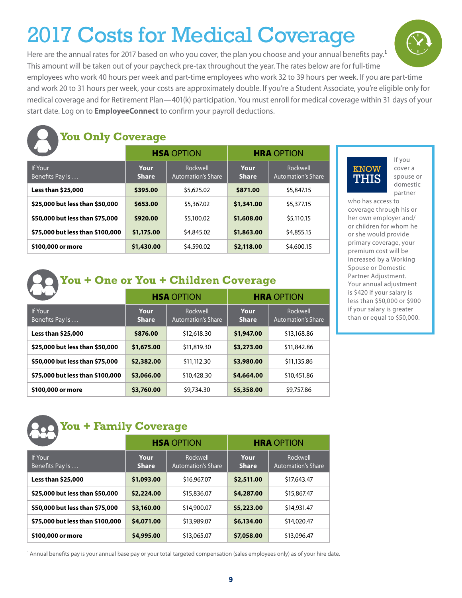### 2017 Costs for Medical Coverage

Here are the annual rates for 2017 based on who you cover, the plan you choose and your annual benefits pay.**<sup>1</sup>** This amount will be taken out of your paycheck pre-tax throughout the year. The rates below are for full-time

employees who work 40 hours per week and part-time employees who work 32 to 39 hours per week. If you are part-time and work 20 to 31 hours per week, your costs are approximately double. If you're a Student Associate, you're eligible only for medical coverage and for Retirement Plan—401(k) participation. You must enroll for medical coverage within 31 days of your start date. Log on to **EmployeeConnect** to confirm your payroll deductions.



### **You Only Coverage**

|                                   |                      | <b>HSA OPTION</b>                     |                      | <b>HRA</b> OPTION                     |
|-----------------------------------|----------------------|---------------------------------------|----------------------|---------------------------------------|
| <b>If Your</b><br>Benefits Pay Is | Your<br><b>Share</b> | Rockwell<br><b>Automation's Share</b> | Your<br><b>Share</b> | Rockwell<br><b>Automation's Share</b> |
| Less than \$25,000                | \$395.00             | \$5,625.02                            | \$871.00             | \$5,847.15                            |
| \$25,000 but less than \$50,000   | \$653.00             | \$5,367.02                            | \$1,341.00           | \$5,377.15                            |
| \$50,000 but less than \$75,000   | \$920.00             | \$5,100.02                            | \$1,608.00           | \$5,110.15                            |
| \$75,000 but less than \$100,000  | \$1,175.00           | \$4,845.02                            | \$1,863.00           | \$4,855.15                            |
| \$100,000 or more                 | \$1,430.00           | \$4,590.02                            | \$2,118.00           | \$4,600.15                            |

### KNOW THIS

If you cover a spouse or domestic partner

who has access to coverage through his or her own employer and/ or children for whom he or she would provide primary coverage, your premium cost will be increased by a Working Spouse or Domestic Partner Adjustment. Your annual adjustment is \$420 if your salary is less than \$50,000 or \$900 if your salary is greater than or equal to \$50,000.

|  |  |  |  |  |  |  |  | You + One or You + Children Coverage |
|--|--|--|--|--|--|--|--|--------------------------------------|
|--|--|--|--|--|--|--|--|--------------------------------------|

|                                  |                      | <b>HSA OPTION</b>                     |                      | <b>HRA OPTION</b>                     |
|----------------------------------|----------------------|---------------------------------------|----------------------|---------------------------------------|
| If Your<br>Benefits Pay Is       | Your<br><b>Share</b> | Rockwell<br><b>Automation's Share</b> | Your<br><b>Share</b> | Rockwell<br><b>Automation's Share</b> |
| Less than \$25,000               | \$876.00             | \$12,618.30                           | \$1,947.00           | \$13,168.86                           |
| \$25,000 but less than \$50,000  | \$1,675.00           | \$11,819.30                           | \$3,273.00           | \$11,842.86                           |
| \$50,000 but less than \$75,000  | \$2,382.00           | \$11,112.30                           | \$3,980.00           | \$11,135.86                           |
| \$75,000 but less than \$100,000 | \$3,066.00           | \$10,428.30                           | \$4,664.00           | \$10,451.86                           |
| \$100,000 or more                | \$3,760.00           | \$9,734.30                            | \$5,358.00           | \$9,757.86                            |

### **You + Family Coverage**

| MENING NA                        |                 | <b>HSA OPTION</b>                     |                      | <b>HRA OPTION</b>                     |  |
|----------------------------------|-----------------|---------------------------------------|----------------------|---------------------------------------|--|
| If Your<br>Benefits Pay Is       | Your.<br>Share. | Rockwell<br><b>Automation's Share</b> | Your<br><b>Share</b> | Rockwell<br><b>Automation's Share</b> |  |
| <b>Less than \$25,000</b>        | \$1,093.00      | \$16,967.07                           | \$2,511.00           | \$17,643.47                           |  |
| \$25,000 but less than \$50,000  | \$2,224.00      | \$15,836.07                           | \$4,287.00           | \$15,867.47                           |  |
| \$50,000 but less than \$75,000  | \$3,160.00      | \$14,900.07                           | \$5,223.00           | \$14,931.47                           |  |
| \$75,000 but less than \$100,000 | \$4,071.00      | \$13,989.07                           | \$6,134.00           | \$14,020.47                           |  |
| \$100,000 or more                | \$4,995.00      | \$13,065.07                           | \$7,058.00           | \$13,096.47                           |  |

1 Annual benefits pay is your annual base pay or your total targeted compensation (sales employees only) as of your hire date.

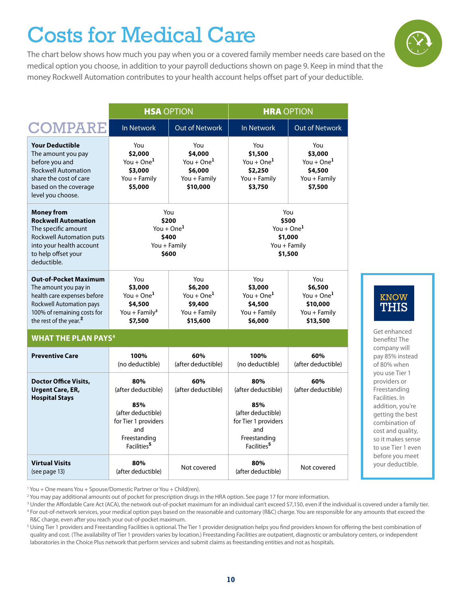### Costs for Medical Care

The chart below shows how much you pay when you or a covered family member needs care based on the medical option you choose, in addition to your payroll deductions shown on page 9. Keep in mind that the money Rockwell Automation contributes to your health account helps offset part of your deductible.



<sup>1</sup> You + One means You + Spouse/Domestic Partner or You + Child(ren).

<sup>2</sup> You may pay additional amounts out of pocket for prescription drugs in the HRA option. See page 17 for more information.

KNOW THIS

Get enhanced benefits! The company will pay 85% instead of 80% when you use Tier 1 providers or Freestanding Facilities. In addition, you're getting the best combination of cost and quality, so it makes sense to use Tier 1 even before you meet your deductible.



 $^3$  Under the Affordable Care Act (ACA), the network out-of-pocket maximum for an individual can't exceed \$7,150, even if the individual is covered under a family tier. <sup>4</sup> For out-of-network services, your medical option pays based on the reasonable and customary (R&C) charge. You are responsible for any amounts that exceed the R&C charge, even after you reach your out-of-pocket maximum.

<sup>&</sup>lt;sup>5</sup> Using Tier 1 providers and Freestanding Facilities is optional. The Tier 1 provider designation helps you find providers known for offering the best combination of quality and cost. (The availability of Tier 1 providers varies by location.) Freestanding Facilities are outpatient, diagnostic or ambulatory centers, or independent laboratories in the Choice Plus network that perform services and submit claims as freestanding entities and not as hospitals.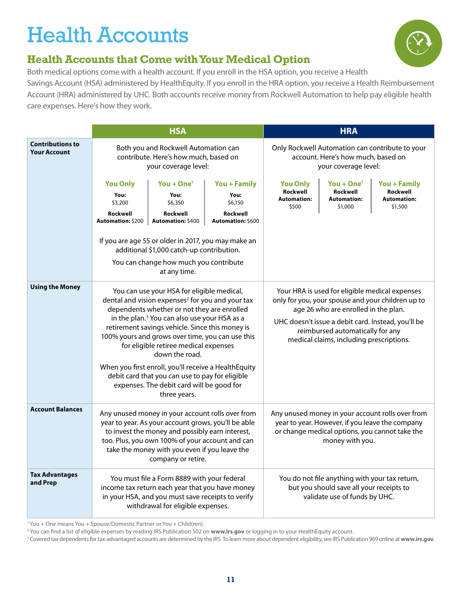### Health Accounts



### **Health Accounts that Come with Your Medical Option**

Both medical options come with a health account. If you enroll in the HSA option, you receive a Health Savings Account (HSA) administered by HealthEquity. If you enroll in the HRA option, you receive a Health Reimbursement Account (HRA) administered by UHC. Both accounts receive money from Rockwell Automation to help pay eligible health care expenses. Here's how they work.

|                                                | <b>HSA</b>                                                                                            |                                                                                                                                                                                                                                                                                                                                                                                                                                                                                                                                                                 |  |                                                            | <b>HRA</b>                                                                                                                                                             |                                                                                                                                                       |
|------------------------------------------------|-------------------------------------------------------------------------------------------------------|-----------------------------------------------------------------------------------------------------------------------------------------------------------------------------------------------------------------------------------------------------------------------------------------------------------------------------------------------------------------------------------------------------------------------------------------------------------------------------------------------------------------------------------------------------------------|--|------------------------------------------------------------|------------------------------------------------------------------------------------------------------------------------------------------------------------------------|-------------------------------------------------------------------------------------------------------------------------------------------------------|
| <b>Contributions to</b><br><b>Your Account</b> | Both you and Rockwell Automation can<br>contribute. Here's how much, based on<br>your coverage level: |                                                                                                                                                                                                                                                                                                                                                                                                                                                                                                                                                                 |  |                                                            | account. Here's how much, based on<br>your coverage level:                                                                                                             | Only Rockwell Automation can contribute to your                                                                                                       |
|                                                | <b>You Only</b><br>You:<br>\$3,200<br>Rockwell<br>Automation: \$200                                   | You + $One1$<br>You + Family<br>You:<br>You:<br>\$6,350<br>\$6,150<br>Rockwell<br>Rockwell<br>Automation: \$400<br>Automation: \$600<br>If you are age 55 or older in 2017, you may make an<br>additional \$1,000 catch-up contribution.                                                                                                                                                                                                                                                                                                                        |  | <b>You Only</b><br>Rockwell<br><b>Automation:</b><br>\$500 | You + $One1$<br>Rockwell<br><b>Automation:</b><br>\$1,000                                                                                                              | You + Family<br>Rockwell<br><b>Automation:</b><br>\$1,500                                                                                             |
|                                                |                                                                                                       | You can change how much you contribute<br>at any time.                                                                                                                                                                                                                                                                                                                                                                                                                                                                                                          |  |                                                            |                                                                                                                                                                        |                                                                                                                                                       |
| <b>Using the Money</b>                         |                                                                                                       | You can use your HSA for eligible medical,<br>dental and vision expenses <sup>2</sup> for you and your tax<br>dependents whether or not they are enrolled<br>in the plan. <sup>3</sup> You can also use your HSA as a<br>retirement savings vehicle. Since this money is<br>100% yours and grows over time, you can use this<br>for eligible retiree medical expenses<br>down the road.<br>When you first enroll, you'll receive a HealthEquity<br>debit card that you can use to pay for eligible<br>expenses. The debit card will be good for<br>three years. |  |                                                            | Your HRA is used for eligible medical expenses<br>age 26 who are enrolled in the plan.<br>reimbursed automatically for any<br>medical claims, including prescriptions. | only for you, your spouse and your children up to<br>UHC doesn't issue a debit card. Instead, you'll be                                               |
| <b>Account Balances</b>                        |                                                                                                       | Any unused money in your account rolls over from<br>year to year. As your account grows, you'll be able<br>to invest the money and possibly earn interest,<br>too. Plus, you own 100% of your account and can<br>take the money with you even if you leave the<br>company or retire.                                                                                                                                                                                                                                                                            |  |                                                            | money with you.                                                                                                                                                        | Any unused money in your account rolls over from<br>year to year. However, if you leave the company<br>or change medical options, you cannot take the |
| <b>Tax Advantages</b><br>and Prep              |                                                                                                       | You must file a Form 8889 with your federal<br>income tax return each year that you have money<br>in your HSA, and you must save receipts to verify<br>withdrawal for eligible expenses.                                                                                                                                                                                                                                                                                                                                                                        |  |                                                            | You do not file anything with your tax return,<br>but you should save all your receipts to<br>validate use of funds by UHC.                                            |                                                                                                                                                       |

<sup>1</sup> You + One means You + Spouse/Domestic Partner or You + Child(ren).

2 You can find a list of eligible expenses by reading IRS Publication 502 on **www.irs.gov** or logging in to your HealthEquity account.

3 Covered tax dependents for tax-advantaged accounts are determined by the IRS. To learn more about dependent eligibility, see IRS Publication 969 online at **www.irs.gov**.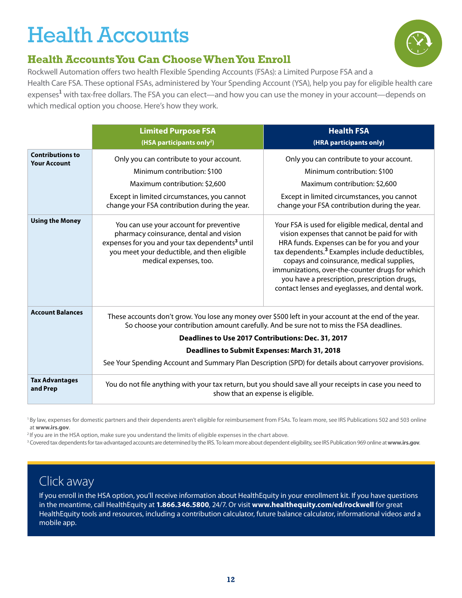### Health Accounts



### **Health Accounts You Can Choose When You Enroll**

Rockwell Automation offers two health Flexible Spending Accounts (FSAs): a Limited Purpose FSA and a Health Care FSA. These optional FSAs, administered by Your Spending Account (YSA), help you pay for eligible health care expenses**<sup>1</sup>** with tax-free dollars. The FSA you can elect—and how you can use the money in your account—depends on which medical option you choose. Here's how they work.

|                                                | <b>Limited Purpose FSA</b><br>(HSA participants only <sup>2</sup> )                                                                                                                                                        | <b>Health FSA</b><br>(HRA participants only)                                                                                                                                                                                                                                                                                                                                                                      |
|------------------------------------------------|----------------------------------------------------------------------------------------------------------------------------------------------------------------------------------------------------------------------------|-------------------------------------------------------------------------------------------------------------------------------------------------------------------------------------------------------------------------------------------------------------------------------------------------------------------------------------------------------------------------------------------------------------------|
| <b>Contributions to</b><br><b>Your Account</b> | Only you can contribute to your account.<br>Minimum contribution: \$100<br>Maximum contribution: \$2,600<br>Except in limited circumstances, you cannot<br>change your FSA contribution during the year.                   | Only you can contribute to your account.<br>Minimum contribution: \$100<br>Maximum contribution: \$2,600<br>Except in limited circumstances, you cannot<br>change your FSA contribution during the year.                                                                                                                                                                                                          |
| <b>Using the Money</b>                         | You can use your account for preventive<br>pharmacy coinsurance, dental and vision<br>expenses for you and your tax dependents <sup>3</sup> until<br>you meet your deductible, and then eligible<br>medical expenses, too. | Your FSA is used for eligible medical, dental and<br>vision expenses that cannot be paid for with<br>HRA funds. Expenses can be for you and your<br>tax dependents. <sup>3</sup> Examples include deductibles,<br>copays and coinsurance, medical supplies,<br>immunizations, over-the-counter drugs for which<br>you have a prescription, prescription drugs,<br>contact lenses and eyeglasses, and dental work. |
| <b>Account Balances</b>                        |                                                                                                                                                                                                                            | These accounts don't grow. You lose any money over \$500 left in your account at the end of the year.<br>So choose your contribution amount carefully. And be sure not to miss the FSA deadlines.<br>Deadlines to Use 2017 Contributions: Dec. 31, 2017<br>Deadlines to Submit Expenses: March 31, 2018                                                                                                           |
|                                                |                                                                                                                                                                                                                            | See Your Spending Account and Summary Plan Description (SPD) for details about carryover provisions.                                                                                                                                                                                                                                                                                                              |
| <b>Tax Advantages</b><br>and Prep              |                                                                                                                                                                                                                            | You do not file anything with your tax return, but you should save all your receipts in case you need to<br>show that an expense is eligible.                                                                                                                                                                                                                                                                     |

<sup>1</sup>By law, expenses for domestic partners and their dependents aren't eligible for reimbursement from FSAs. To learn more, see IRS Publications 502 and 503 online at **www.irs.gov**.<br><sup>2</sup> If you are in the HSA option, make sure you understand the limits of eligible expenses in the chart above.

<sup>3</sup> Covered tax dependents for tax-advantaged accounts are determined by the IRS. To learn more about dependent eligibility, see IRS Publication 969 online at **www.irs.gov**.

### Click away

If you enroll in the HSA option, you'll receive information about HealthEquity in your enrollment kit. If you have questions in the meantime, call HealthEquity at **1.866.346.5800**, 24/7. Or visit **www.healthequity.com/ed/rockwell** for great HealthEquity tools and resources, including a contribution calculator, future balance calculator, informational videos and a mobile app.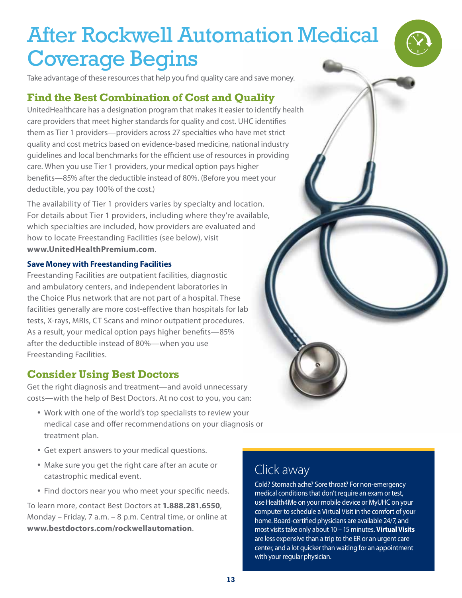Take advantage of these resources that help you find quality care and save money.

#### **Find the Best Combination of Cost and Quality**

UnitedHealthcare has a designation program that makes it easier to identify health care providers that meet higher standards for quality and cost. UHC identifies them as Tier 1 providers—providers across 27 specialties who have met strict quality and cost metrics based on evidence-based medicine, national industry guidelines and local benchmarks for the efficient use of resources in providing care. When you use Tier 1 providers, your medical option pays higher benefits—85% after the deductible instead of 80%. (Before you meet your deductible, you pay 100% of the cost.)

The availability of Tier 1 providers varies by specialty and location. For details about Tier 1 providers, including where they're available, which specialties are included, how providers are evaluated and how to locate Freestanding Facilities (see below), visit **www.UnitedHealthPremium.com**.

#### **Save Money with Freestanding Facilities**

Freestanding Facilities are outpatient facilities, diagnostic and ambulatory centers, and independent laboratories in the Choice Plus network that are not part of a hospital. These facilities generally are more cost-effective than hospitals for lab tests, X-rays, MRIs, CT Scans and minor outpatient procedures. As a result, your medical option pays higher benefits—85% after the deductible instead of 80%—when you use Freestanding Facilities.

#### **Consider Using Best Doctors**

Get the right diagnosis and treatment—and avoid unnecessary costs—with the help of Best Doctors. At no cost to you, you can:

- Work with one of the world's top specialists to review your medical case and offer recommendations on your diagnosis or treatment plan.
- Get expert answers to your medical questions.
- Make sure you get the right care after an acute or catastrophic medical event.
- Find doctors near you who meet your specific needs.

To learn more, contact Best Doctors at **1.888.281.6550**, Monday – Friday, 7 a.m. – 8 p.m. Central time, or online at **www.bestdoctors.com/rockwellautomation**.

### Click away

Cold? Stomach ache? Sore throat? For non-emergency medical conditions that don't require an exam or test, use Health4Me on your mobile device or MyUHC on your computer to schedule a Virtual Visit in the comfort of your home. Board-certified physicians are available 24/7, and most visits take only about 10 – 15 minutes. **Virtual Visits** are less expensive than a trip to the ER or an urgent care center, and a lot quicker than waiting for an appointment with your regular physician.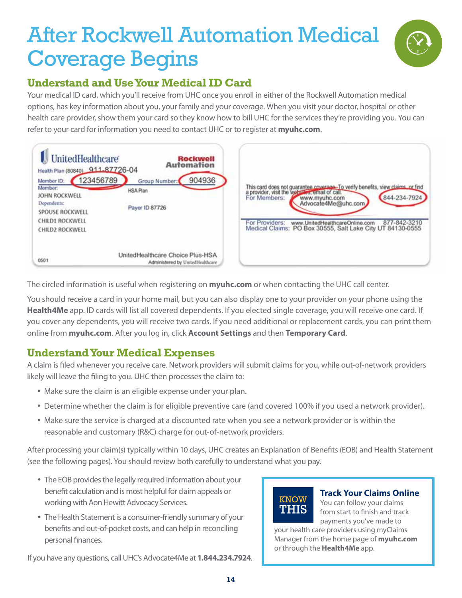

### **Understand and Use Your Medical ID Card**

Your medical ID card, which you'll receive from UHC once you enroll in either of the Rockwell Automation medical options, has key information about you, your family and your coverage. When you visit your doctor, hospital or other health care provider, show them your card so they know how to bill UHC for the services they're providing you. You can refer to your card for information you need to contact UHC or to register at **myuhc.com**.

| <b>UnitedHealthcare</b><br>Health Plan (80840) 911-87726-04 |                 |                                  | <b>Rockwell</b><br>Automation |
|-------------------------------------------------------------|-----------------|----------------------------------|-------------------------------|
| Member ID:                                                  | 123456789       | Group Number:                    | 904936                        |
| Member:<br>JOHN ROCKWELL                                    | <b>HSA Plan</b> |                                  |                               |
| Dependents:<br><b>SPOUSE ROCKWELL</b>                       |                 | Payer ID 87726                   |                               |
| CHILD1 ROCKWELL                                             |                 |                                  |                               |
| CHILD2 ROCKWELL                                             |                 |                                  |                               |
| 0501                                                        |                 | UnitedHealthcare Choice Plus-HSA |                               |



The circled information is useful when registering on **myuhc.com** or when contacting the UHC call center.

You should receive a card in your home mail, but you can also display one to your provider on your phone using the **Health4Me** app. ID cards will list all covered dependents. If you elected single coverage, you will receive one card. If you cover any dependents, you will receive two cards. If you need additional or replacement cards, you can print them online from **myuhc.com**. After you log in, click **Account Settings** and then **Temporary Card**.

#### **Understand Your Medical Expenses**

A claim is filed whenever you receive care. Network providers will submit claims for you, while out-of-network providers likely will leave the filing to you. UHC then processes the claim to:

- Make sure the claim is an eligible expense under your plan.
- Determine whether the claim is for eligible preventive care (and covered 100% if you used a network provider).
- Make sure the service is charged at a discounted rate when you see a network provider or is within the reasonable and customary (R&C) charge for out-of-network providers.

After processing your claim(s) typically within 10 days, UHC creates an Explanation of Benefits (EOB) and Health Statement (see the following pages). You should review both carefully to understand what you pay.

- The EOB provides the legally required information about your benefit calculation and is most helpful for claim appeals or working with Aon Hewitt Advocacy Services.
- The Health Statement is a consumer-friendly summary of your benefits and out-of-pocket costs, and can help in reconciling personal finances.

**KNOW** THIS

**Track Your Claims Online**  You can follow your claims from start to finish and track payments you've made to

your health care providers using myClaims Manager from the home page of **myuhc.com** or through the **Health4Me** app.

If you have any questions, call UHC's Advocate4Me at **1.844.234.7924**.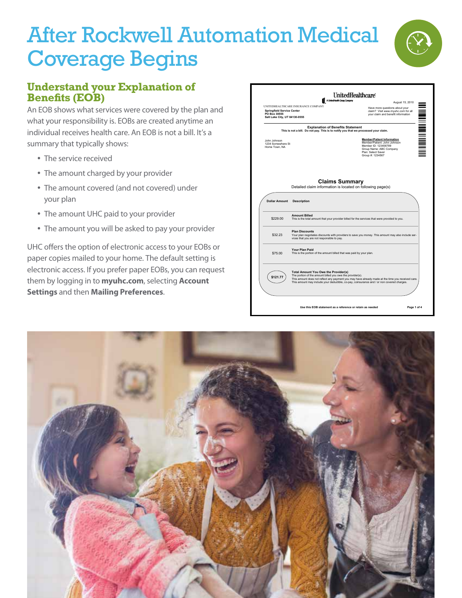

#### **Understand your Explanation of Benefits (EOB)**

An EOB shows what services were covered by the plan and what your responsibility is. EOBs are created anytime an individual receives health care. An EOB is not a bill. It's a summary that typically shows:

- The service received
- The amount charged by your provider
- The amount covered (and not covered) under your plan
- The amount UHC paid to your provider
- The amount you will be asked to pay your provider

UHC offers the option of electronic access to your EOBs or paper copies mailed to your home. The default setting is electronic access. If you prefer paper EOBs, you can request them by logging in to **myuhc.com**, selecting **Account Settings** and then **Mailing Preferences**.

|                                                   |                                                                                                          | A UnitedHealth Group Company<br>August 15, 2010                                                                                                                                                 |  |
|---------------------------------------------------|----------------------------------------------------------------------------------------------------------|-------------------------------------------------------------------------------------------------------------------------------------------------------------------------------------------------|--|
|                                                   | UNITEDHEALTHCARE INSURANCE COMPANY                                                                       | Have more questions about your                                                                                                                                                                  |  |
| <b>Springfield Service Center</b><br>PO Box 30555 |                                                                                                          | claim? Visit www.mvuhc.com for all<br>your claim and benefit information                                                                                                                        |  |
| Salt Lake City, UT 84130-0555                     |                                                                                                          |                                                                                                                                                                                                 |  |
|                                                   | <b>Explanation of Benefits Statement</b>                                                                 | This is not a bill. Do not pay. This is to notify you that we processed your claim.                                                                                                             |  |
| John Johnson                                      |                                                                                                          | <b>Member/Patient Information</b>                                                                                                                                                               |  |
| 1234 Somewhere St                                 |                                                                                                          | Member/Patient: John Johnson<br>Member ID: 123456789                                                                                                                                            |  |
| Home Town, NA                                     |                                                                                                          | Group Name: ABC Company                                                                                                                                                                         |  |
|                                                   |                                                                                                          | Plan: Select Saver<br>Group #: 1234567                                                                                                                                                          |  |
|                                                   |                                                                                                          |                                                                                                                                                                                                 |  |
|                                                   |                                                                                                          |                                                                                                                                                                                                 |  |
|                                                   | <b>Description</b>                                                                                       | Detailed claim information is located on following page(s)                                                                                                                                      |  |
| \$229.00                                          | <b>Amount Billed</b>                                                                                     | This is the total amount that your provider billed for the services that were provided to you.                                                                                                  |  |
| \$32.23                                           | <b>Plan Discounts</b><br>vices that you are not responsible to pay.                                      | Your plan negotiates discounts with providers to save you money. This amount may also include ser-                                                                                              |  |
| \$75.00                                           | Your Plan Paid<br>This is the portion of the amount billed that was paid by your plan.                   |                                                                                                                                                                                                 |  |
| <b>Dollar Amount</b><br>\$121.77                  | <b>Total Amount You Owe the Provider(s)</b><br>The portion of the amount billed you owe the provider(s). | This amount does not reflect any payment you may have already made at the time you received care.<br>This amount may include your deductible, co-pay, coinsurance and / or non covered charges. |  |

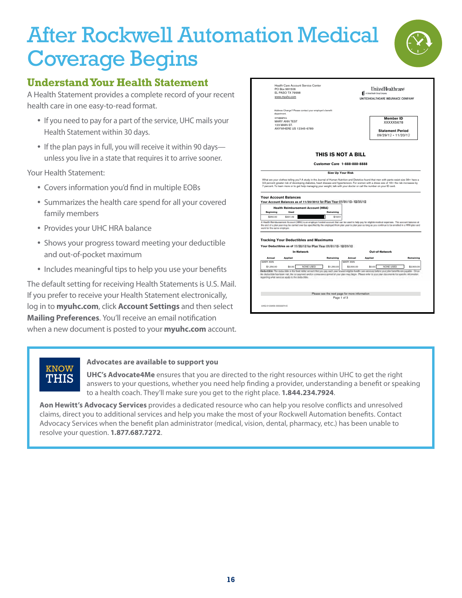

A Health Statement provides a complete record of your recent health care in one easy-to-read format.

- If you need to pay for a part of the service, UHC mails your Health Statement within 30 days.
- If the plan pays in full, you will receive it within 90 days unless you live in a state that requires it to arrive sooner.

Your Health Statement:

- Covers information you'd find in multiple EOBs
- Summarizes the health care spend for all your covered family members
- Provides your UHC HRA balance
- Shows your progress toward meeting your deductible and out-of-pocket maximum
- Includes meaningful tips to help you use your benefits

The default setting for receiving Health Statements is U.S. Mail. If you prefer to receive your Health Statement electronically, log in to **myuhc.com**, click **Account Settings** and then select **Mailing Preferences**. You'll receive an email notification when a new document is posted to your **myuhc.com** account.

|                                         | Health Care Account Service Center             |                                                                                                                                                                                                                                                                                                                         |                          |                                                                                                                         |                            | <b>UnitedHealthcare</b>            |            |
|-----------------------------------------|------------------------------------------------|-------------------------------------------------------------------------------------------------------------------------------------------------------------------------------------------------------------------------------------------------------------------------------------------------------------------------|--------------------------|-------------------------------------------------------------------------------------------------------------------------|----------------------------|------------------------------------|------------|
|                                         | PO Box 981506<br>FL PASO TX 79998              |                                                                                                                                                                                                                                                                                                                         |                          |                                                                                                                         | A University Stout Company |                                    |            |
|                                         | www.mvuhc.com                                  |                                                                                                                                                                                                                                                                                                                         |                          |                                                                                                                         |                            | UNITEDHEALTHCARE INSURANCE COMPANY |            |
|                                         |                                                |                                                                                                                                                                                                                                                                                                                         |                          |                                                                                                                         |                            |                                    |            |
|                                         | department.                                    | Address Change? Please contact your employer's benefit                                                                                                                                                                                                                                                                  |                          |                                                                                                                         |                            |                                    |            |
|                                         | <b>DRS\$\$\$PKG</b>                            |                                                                                                                                                                                                                                                                                                                         |                          |                                                                                                                         |                            | <b>Member ID</b>                   |            |
|                                         | <b>MARY ANN TEST</b><br>123 MAIN ST.           |                                                                                                                                                                                                                                                                                                                         |                          |                                                                                                                         |                            | XXXXX5678                          |            |
|                                         | ANYWHERE US 12345-6789                         |                                                                                                                                                                                                                                                                                                                         |                          |                                                                                                                         |                            | <b>Statement Period</b>            |            |
|                                         |                                                |                                                                                                                                                                                                                                                                                                                         |                          |                                                                                                                         |                            | 09/29/12 - 11/20/12                |            |
|                                         |                                                |                                                                                                                                                                                                                                                                                                                         |                          |                                                                                                                         |                            |                                    |            |
|                                         |                                                |                                                                                                                                                                                                                                                                                                                         |                          | THIS IS NOT A BILL<br><b>Customer Care 1-888-888-8888</b>                                                               |                            |                                    |            |
|                                         |                                                |                                                                                                                                                                                                                                                                                                                         | <b>Size Up Your Risk</b> |                                                                                                                         |                            |                                    |            |
|                                         |                                                |                                                                                                                                                                                                                                                                                                                         |                          |                                                                                                                         |                            |                                    |            |
|                                         |                                                | What are your clothes telling you? A study in the Journal of Human Nutrition and Dietetics found that men with pants waist size 38+ have a                                                                                                                                                                              |                          |                                                                                                                         |                            |                                    |            |
|                                         |                                                | 3.9 percent greater risk of developing diabetes, heart disease and hypertension. For women with a dress size of 18+ the risk increases by                                                                                                                                                                               |                          |                                                                                                                         |                            |                                    |            |
|                                         |                                                |                                                                                                                                                                                                                                                                                                                         |                          |                                                                                                                         |                            |                                    |            |
|                                         |                                                |                                                                                                                                                                                                                                                                                                                         |                          | 7 percent. To learn more or to get help managing your weight, talk with your doctor or call the number on your ID card. |                            |                                    |            |
|                                         |                                                |                                                                                                                                                                                                                                                                                                                         |                          |                                                                                                                         |                            |                                    |            |
|                                         | <b>Your Account Balances</b>                   | Your Account Balances as of 11/20/2012 for Plan Year 61/01/12- 12/31/12                                                                                                                                                                                                                                                 |                          |                                                                                                                         |                            |                                    |            |
| <b>Beginning</b>                        | Used                                           | <b>Health Reimbursement Account (HRA)</b>                                                                                                                                                                                                                                                                               | Remaining                |                                                                                                                         |                            |                                    |            |
| \$350.00                                | \$331.49                                       |                                                                                                                                                                                                                                                                                                                         | \$18.51                  |                                                                                                                         |                            |                                    |            |
|                                         |                                                |                                                                                                                                                                                                                                                                                                                         |                          |                                                                                                                         |                            |                                    |            |
|                                         |                                                | A Health Reinsbursement Account (HRK) is an employer funded account that can be used to help pay for eligible medical expenses. The account balance at<br>the end of a plan year may be carried over las specified by the employed from plan year to plan year as long as you continue to be enrolled in a HRA plan and |                          |                                                                                                                         |                            |                                    |            |
|                                         |                                                |                                                                                                                                                                                                                                                                                                                         |                          |                                                                                                                         |                            |                                    |            |
| work for the same omployer.             |                                                |                                                                                                                                                                                                                                                                                                                         |                          |                                                                                                                         |                            |                                    |            |
|                                         |                                                |                                                                                                                                                                                                                                                                                                                         |                          |                                                                                                                         |                            |                                    |            |
|                                         |                                                |                                                                                                                                                                                                                                                                                                                         |                          |                                                                                                                         |                            |                                    |            |
|                                         |                                                | <b>Tracking Your Deductibles and Maximums</b>                                                                                                                                                                                                                                                                           |                          |                                                                                                                         |                            |                                    |            |
|                                         |                                                | Your Deductibles as of 15/36/12 for Plan Year 05/85/12-12/35/12                                                                                                                                                                                                                                                         |                          |                                                                                                                         |                            |                                    |            |
|                                         |                                                | <b>In-Network</b>                                                                                                                                                                                                                                                                                                       |                          |                                                                                                                         |                            | Out-of-Network                     |            |
|                                         | Applied                                        |                                                                                                                                                                                                                                                                                                                         | Remaining                | Annual                                                                                                                  | Applied                    |                                    | Remaining  |
|                                         |                                                |                                                                                                                                                                                                                                                                                                                         |                          | <b>MARY ANN</b>                                                                                                         |                            |                                    |            |
|                                         | \$0.00                                         | NONE USED                                                                                                                                                                                                                                                                                                               | \$1,250.00               | \$2,500.00                                                                                                              | \$0.00                     | NONE USED                          | \$2,500.00 |
| Annual<br><b>MARY ANN</b><br>\$1,250.00 |                                                | Deductible. This deductible is the fixed items arount that you gay each year toward eligible fixeds care elevinos before your plan benefits are poyable. Once                                                                                                                                                           |                          |                                                                                                                         |                            |                                    |            |
|                                         |                                                | the declarable has been real. Be six payment and/or consumece gamed in your plan may begin. Please mite to sourcelar decoments for specific information.                                                                                                                                                                |                          |                                                                                                                         |                            |                                    |            |
|                                         | injarding what sensors apply to the deduction. |                                                                                                                                                                                                                                                                                                                         |                          |                                                                                                                         |                            |                                    |            |
|                                         |                                                |                                                                                                                                                                                                                                                                                                                         |                          |                                                                                                                         |                            |                                    |            |
|                                         |                                                |                                                                                                                                                                                                                                                                                                                         |                          |                                                                                                                         |                            |                                    |            |
|                                         |                                                |                                                                                                                                                                                                                                                                                                                         |                          |                                                                                                                         |                            |                                    |            |
|                                         |                                                |                                                                                                                                                                                                                                                                                                                         |                          | Please see the next page for more information                                                                           |                            |                                    |            |
|                                         |                                                |                                                                                                                                                                                                                                                                                                                         | Page 1 of 3              |                                                                                                                         |                            |                                    |            |
|                                         |                                                |                                                                                                                                                                                                                                                                                                                         |                          |                                                                                                                         |                            |                                    |            |

### KNOW THIS

#### **Advocates are available to support you**

**UHC's Advocate4Me** ensures that you are directed to the right resources within UHC to get the right answers to your questions, whether you need help finding a provider, understanding a benefit or speaking to a health coach. They'll make sure you get to the right place. **1.844.234.7924**.

**Aon Hewitt's Advocacy Services** provides a dedicated resource who can help you resolve conflicts and unresolved claims, direct you to additional services and help you make the most of your Rockwell Automation benefits. Contact Advocacy Services when the benefit plan administrator (medical, vision, dental, pharmacy, etc.) has been unable to resolve your question. **1.877.687.7272**.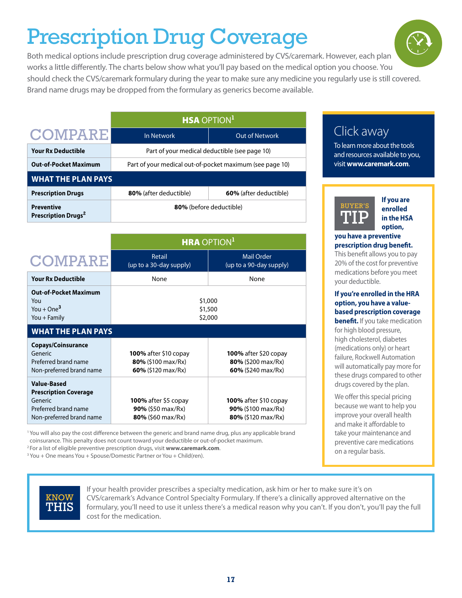### Prescription Drug Coverage

Both medical options include prescription drug coverage administered by CVS/caremark. However, each plan works a little differently. The charts below show what you'll pay based on the medical option you choose. You should check the CVS/caremark formulary during the year to make sure any medicine you regularly use is still covered. Brand name drugs may be dropped from the formulary as generics become available.

|                                                      | <b>HSA OPTION<sup>1</sup></b>                            |                               |  |  |  |  |
|------------------------------------------------------|----------------------------------------------------------|-------------------------------|--|--|--|--|
| <b>COMPARE</b>                                       | In Network                                               | Out of Network                |  |  |  |  |
| <b>Your Rx Deductible</b>                            | Part of your medical deductible (see page 10)            |                               |  |  |  |  |
| <b>Out-of-Pocket Maximum</b>                         | Part of your medical out-of-pocket maximum (see page 10) |                               |  |  |  |  |
| <b>WHAT THE PLAN PAYS</b>                            |                                                          |                               |  |  |  |  |
| <b>Prescription Drugs</b>                            | 80% (after deductible)                                   | <b>60%</b> (after deductible) |  |  |  |  |
| <b>Preventive</b><br>Prescription Drugs <sup>2</sup> | 80% (before deductible)                                  |                               |  |  |  |  |

|                                                                                                                   | <b>HRA OPTION<sup>1</sup></b>                                               |                                                                             |  |  |
|-------------------------------------------------------------------------------------------------------------------|-----------------------------------------------------------------------------|-----------------------------------------------------------------------------|--|--|
| <b>COMPARE</b>                                                                                                    | Retail<br>(up to a 30-day supply)                                           | <b>Mail Order</b><br>(up to a 90-day supply)                                |  |  |
| <b>Your Rx Deductible</b>                                                                                         | None                                                                        | None                                                                        |  |  |
| <b>Out-of-Pocket Maximum</b><br>You<br>You + $One3$<br>You + Family                                               | \$1,000<br>\$1,500<br>\$2,000                                               |                                                                             |  |  |
| <b>WHAT THE PLAN PAYS</b>                                                                                         |                                                                             |                                                                             |  |  |
| <b>Copays/Coinsurance</b><br>Generic<br>Preferred brand name<br>Non-preferred brand name                          | <b>100%</b> after \$10 copay<br>$80\%$ (\$100 max/Rx)<br>60% (\$120 max/Rx) | <b>100%</b> after \$20 copay<br>$80\%$ (\$200 max/Rx)<br>60% (\$240 max/Rx) |  |  |
| <b>Value-Based</b><br><b>Prescription Coverage</b><br>Generic<br>Preferred brand name<br>Non-preferred brand name | <b>100%</b> after \$5 copay<br>90% (\$50 max/Rx)<br>$80\%$ (\$60 max/Rx)    | <b>100%</b> after \$10 copay<br>90% (\$100 max/Rx)<br>$80\%$ (\$120 max/Rx) |  |  |

1 You will also pay the cost difference between the generic and brand name drug, plus any applicable brand coinsurance. This penalty does not count toward your deductible or out-of-pocket maximum. 2 For a list of eligible preventive prescription drugs, visit **www.caremark.com**.

<sup>3</sup> You + One means You + Spouse/Domestic Partner or You + Child(ren).



If your health provider prescribes a specialty medication, ask him or her to make sure it's on CVS/caremark's Advance Control Specialty Formulary. If there's a clinically approved alternative on the formulary, you'll need to use it unless there's a medical reason why you can't. If you don't, you'll pay the full cost for the medication.

### Click away

To learn more about the tools and resources available to you, visit **www.caremark.com**.



**If you are enrolled in the HSA option,** 

#### **you have a preventive prescription drug benefit.**

This benefit allows you to pay 20% of the cost for preventive medications before you meet your deductible.

#### **If you're enrolled in the HRA option, you have a valuebased prescription coverage**

**benefit.** If you take medication for high blood pressure, high cholesterol, diabetes (medications only) or heart failure, Rockwell Automation will automatically pay more for these drugs compared to other drugs covered by the plan.

We offer this special pricing because we want to help you improve your overall health and make it affordable to take your maintenance and preventive care medications on a regular basis.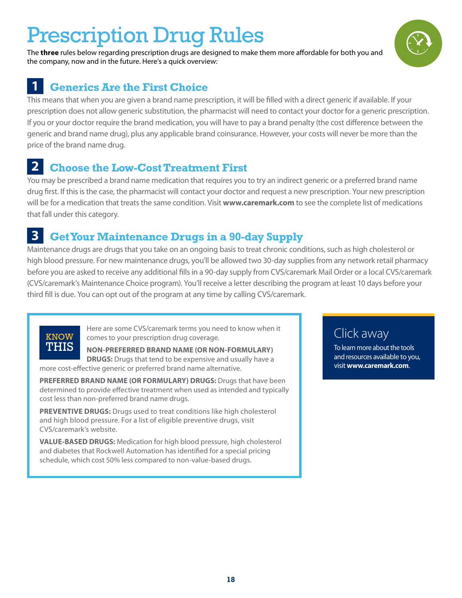### Prescription Drug Rules

The **three** rules below regarding prescription drugs are designed to make them more affordable for both you and the company, now and in the future. Here's a quick overview:

### **1 Generics Are the First Choice**

This means that when you are given a brand name prescription, it will be filled with a direct generic if available. If your prescription does not allow generic substitution, the pharmacist will need to contact your doctor for a generic prescription. If you or your doctor require the brand medication, you will have to pay a brand penalty (the cost difference between the generic and brand name drug), plus any applicable brand coinsurance. However, your costs will never be more than the price of the brand name drug.

### **2 Choose the Low-Cost Treatment First**

You may be prescribed a brand name medication that requires you to try an indirect generic or a preferred brand name drug first. If this is the case, the pharmacist will contact your doctor and request a new prescription. Your new prescription will be for a medication that treats the same condition. Visit **www.caremark.com** to see the complete list of medications that fall under this category.

### **3 Get Your Maintenance Drugs in a 90-day Supply**

Maintenance drugs are drugs that you take on an ongoing basis to treat chronic conditions, such as high cholesterol or high blood pressure. For new maintenance drugs, you'll be allowed two 30-day supplies from any network retail pharmacy before you are asked to receive any additional fills in a 90-day supply from CVS/caremark Mail Order or a local CVS/caremark (CVS/caremark's Maintenance Choice program). You'll receive a letter describing the program at least 10 days before your third fill is due. You can opt out of the program at any time by calling CVS/caremark.



Here are some CVS/caremark terms you need to know when it comes to your prescription drug coverage.

**NON-PREFERRED BRAND NAME (OR NON-FORMULARY) DRUGS:** Drugs that tend to be expensive and usually have a more cost-effective generic or preferred brand name alternative.

**PREFERRED BRAND NAME (OR FORMULARY) DRUGS:** Drugs that have been determined to provide effective treatment when used as intended and typically cost less than non-preferred brand name drugs.

**PREVENTIVE DRUGS:** Drugs used to treat conditions like high cholesterol and high blood pressure. For a list of eligible preventive drugs, visit CVS/caremark's website.

**VALUE-BASED DRUGS:** Medication for high blood pressure, high cholesterol and diabetes that Rockwell Automation has identified for a special pricing schedule, which cost 50% less compared to non-value-based drugs.

### Click away

To learn more about the tools and resources available to you, visit **www.caremark.com**.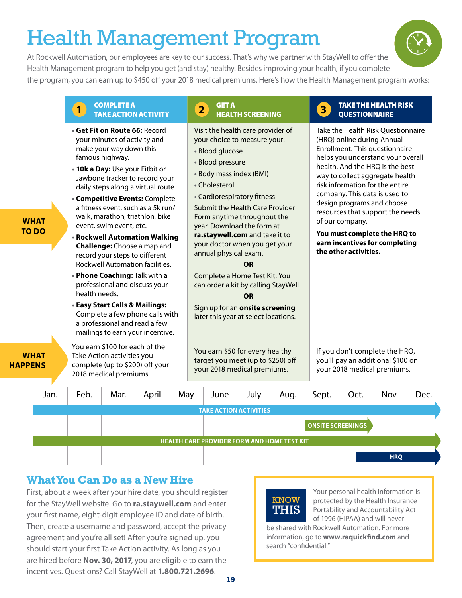### Health Management Program

At Rockwell Automation, our employees are key to our success. That's why we partner with StayWell to offer the Health Management program to help you get (and stay) healthy. Besides improving your health, if you complete the program, you can earn up to \$450 off your 2018 medical premiums. Here's how the Health Management program works:

|              |                             | 1             | <b>COMPLETE A</b><br><b>TAKE ACTION ACTIVITY</b>                                                                                                                                                                                                                                                                                                                                                                                                                                                                                                                                                                                                                                                                              |       |     | $\overline{\mathbf{2}}$ | <b>GET A</b>                                                                                                                                                                                                                                                                                                                                                                                                                                                                                                                        | <b>HEALTH SCREENING</b> |      | 3 <sub>1</sub>           | <b>QUESTIONNAIRE</b>                                                   | <b>TAKE THE HEALTH RISK</b>                                                                                                                                                                                                                                                                                                                                                             |      |
|--------------|-----------------------------|---------------|-------------------------------------------------------------------------------------------------------------------------------------------------------------------------------------------------------------------------------------------------------------------------------------------------------------------------------------------------------------------------------------------------------------------------------------------------------------------------------------------------------------------------------------------------------------------------------------------------------------------------------------------------------------------------------------------------------------------------------|-------|-----|-------------------------|-------------------------------------------------------------------------------------------------------------------------------------------------------------------------------------------------------------------------------------------------------------------------------------------------------------------------------------------------------------------------------------------------------------------------------------------------------------------------------------------------------------------------------------|-------------------------|------|--------------------------|------------------------------------------------------------------------|-----------------------------------------------------------------------------------------------------------------------------------------------------------------------------------------------------------------------------------------------------------------------------------------------------------------------------------------------------------------------------------------|------|
|              | <b>WHAT</b><br><b>TO DO</b> | health needs. | · Get Fit on Route 66: Record<br>your minutes of activity and<br>make your way down this<br>famous highway.<br>. 10k a Day: Use your Fitbit or<br>Jawbone tracker to record your<br>daily steps along a virtual route.<br><b>Competitive Events: Complete</b><br>a fitness event, such as a 5k run/<br>walk, marathon, triathlon, bike<br>event, swim event, etc.<br>• Rockwell Automation Walking<br>Challenge: Choose a map and<br>record your steps to different<br>Rockwell Automation facilities.<br>. Phone Coaching: Talk with a<br>professional and discuss your<br><b>• Easy Start Calls &amp; Mailings:</b><br>Complete a few phone calls with<br>a professional and read a few<br>mailings to earn your incentive. |       |     |                         | Visit the health care provider of<br>your choice to measure your:<br>· Blood glucose<br>· Blood pressure<br>• Body mass index (BMI)<br>• Cholesterol<br>• Cardiorespiratory fitness<br>Submit the Health Care Provider<br>Form anytime throughout the<br>year. Download the form at<br>ra.staywell.com and take it to<br>your doctor when you get your<br>annual physical exam.<br>Complete a Home Test Kit. You<br>can order a kit by calling StayWell.<br>Sign up for an onsite screening<br>later this year at select locations. | OR<br><b>OR</b>         |      |                          | (HRQ) online during Annual<br>of our company.<br>the other activities. | Take the Health Risk Questionnaire<br>Enrollment. This questionnaire<br>helps you understand your overall<br>health. And the HRQ is the best<br>way to collect aggregate health<br>risk information for the entire<br>company. This data is used to<br>design programs and choose<br>resources that support the needs<br>You must complete the HRQ to<br>earn incentives for completing |      |
| <b>PPENS</b> | WHAT                        |               | You earn \$100 for each of the<br>Take Action activities you<br>complete (up to \$200) off your<br>2018 medical premiums.                                                                                                                                                                                                                                                                                                                                                                                                                                                                                                                                                                                                     |       |     |                         | You earn \$50 for every healthy<br>target you meet (up to \$250) off<br>your 2018 medical premiums.                                                                                                                                                                                                                                                                                                                                                                                                                                 |                         |      |                          |                                                                        | If you don't complete the HRQ,<br>you'll pay an additional \$100 on<br>your 2018 medical premiums.                                                                                                                                                                                                                                                                                      |      |
|              | Jan.                        | Feb.          | Mar.                                                                                                                                                                                                                                                                                                                                                                                                                                                                                                                                                                                                                                                                                                                          | April | May |                         | June                                                                                                                                                                                                                                                                                                                                                                                                                                                                                                                                | July                    | Aug. | Sept.                    | Oct.                                                                   | Nov.                                                                                                                                                                                                                                                                                                                                                                                    | Dec. |
|              |                             |               |                                                                                                                                                                                                                                                                                                                                                                                                                                                                                                                                                                                                                                                                                                                               |       |     |                         | <b>TAKE ACTION ACTIVITIES</b>                                                                                                                                                                                                                                                                                                                                                                                                                                                                                                       |                         |      |                          |                                                                        |                                                                                                                                                                                                                                                                                                                                                                                         |      |
|              |                             |               |                                                                                                                                                                                                                                                                                                                                                                                                                                                                                                                                                                                                                                                                                                                               |       |     |                         |                                                                                                                                                                                                                                                                                                                                                                                                                                                                                                                                     |                         |      | <b>ONSITE SCREENINGS</b> |                                                                        |                                                                                                                                                                                                                                                                                                                                                                                         |      |
|              |                             |               |                                                                                                                                                                                                                                                                                                                                                                                                                                                                                                                                                                                                                                                                                                                               |       |     |                         | <b>HEALTH CARE PROVIDER FORM AND HOME TEST KIT</b>                                                                                                                                                                                                                                                                                                                                                                                                                                                                                  |                         |      |                          |                                                                        |                                                                                                                                                                                                                                                                                                                                                                                         |      |
|              |                             |               |                                                                                                                                                                                                                                                                                                                                                                                                                                                                                                                                                                                                                                                                                                                               |       |     |                         |                                                                                                                                                                                                                                                                                                                                                                                                                                                                                                                                     |                         |      |                          |                                                                        | <b>HRQ</b>                                                                                                                                                                                                                                                                                                                                                                              |      |

#### **What You Can Do as a New Hire**

**HA** 

First, about a week after your hire date, you should register for the StayWell website. Go to **ra.staywell.com** and enter your first name, eight-digit employee ID and date of birth. Then, create a username and password, accept the privacy agreement and you're all set! After you're signed up, you should start your first Take Action activity. As long as you are hired before **Nov. 30, 2017**, you are eligible to earn the incentives. Questions? Call StayWell at **1.800.721.2696**.



Your personal health information is protected by the Health Insurance Portability and Accountability Act of 1996 (HIPAA) and will never

be shared with Rockwell Automation. For more information, go to **www.raquickfind.com** and search "confidential."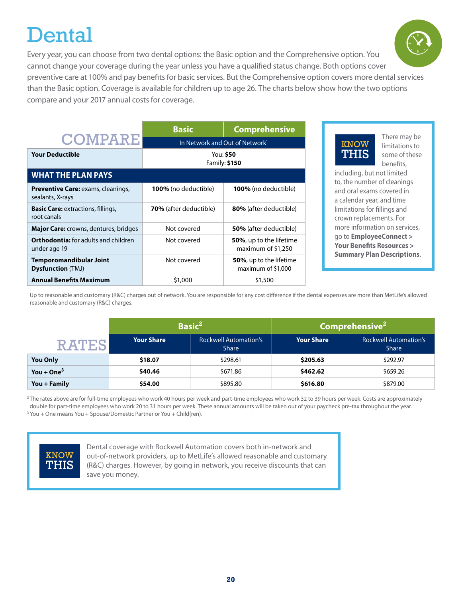### **Dental**

Every year, you can choose from two dental options: the Basic option and the Comprehensive option. You cannot change your coverage during the year unless you have a qualified status change. Both options cover preventive care at 100% and pay benefits for basic services. But the Comprehensive option covers more dental services than the Basic option. Coverage is available for children up to age 26. The charts below show how the two options compare and your 2017 annual costs for coverage.

|                                                               | <b>Basic</b>                               | <b>Comprehensive</b>                                  |  |
|---------------------------------------------------------------|--------------------------------------------|-------------------------------------------------------|--|
| <b>COMPARE</b>                                                | In Network and Out of Network <sup>1</sup> |                                                       |  |
| <b>Your Deductible</b>                                        | You: \$50<br>Family: \$150                 |                                                       |  |
| <b>WHAT THE PLAN PAYS</b>                                     |                                            |                                                       |  |
| <b>Preventive Care: exams, cleanings,</b><br>sealants, X-rays | 100% (no deductible)                       | <b>100%</b> (no deductible)                           |  |
| <b>Basic Care:</b> extractions, fillings,<br>root canals      | <b>70%</b> (after deductible)              | 80% (after deductible)                                |  |
| Major Care: crowns, dentures, bridges                         | Not covered                                | <b>50%</b> (after deductible)                         |  |
| <b>Orthodontia:</b> for adults and children<br>under age 19   | Not covered                                | <b>50%</b> , up to the lifetime<br>maximum of \$1,250 |  |
| <b>Temporomandibular Joint</b><br><b>Dysfunction (TMJ)</b>    | Not covered                                | <b>50%</b> , up to the lifetime<br>maximum of \$1,000 |  |
| <b>Annual Benefits Maximum</b>                                | \$1,000                                    | \$1,500                                               |  |



There may be limitations to some of these benefits,

including, but not limited to, the number of cleanings and oral exams covered in a calendar year, and time limitations for fillings and crown replacements. For more information on services, go to **EmployeeConnect > Your Benefits Resources > Summary Plan Descriptions**.

<sup>1</sup>Up to reasonable and customary (R&C) charges out of network. You are responsible for any cost difference if the dental expenses are more than MetLife's allowed reasonable and customary (R&C) charges.

|                 | <b>Basic<sup>2</sup></b> |                                              | Comprehens <u>ive<sup>2  </sup></u> |                                              |  |
|-----------------|--------------------------|----------------------------------------------|-------------------------------------|----------------------------------------------|--|
|                 | <b>Your Share</b>        | <b>Rockwell Automation's</b><br><b>Share</b> | <b>Your Share</b>                   | <b>Rockwell Automation's</b><br><b>Share</b> |  |
| <b>You Only</b> | \$18.07                  | \$298.61                                     | \$205.63                            | \$292.97                                     |  |
| You + One $3$   | \$40.46                  | \$671.86                                     | \$462.62                            | \$659.26                                     |  |
| You + Family    | \$54.00                  | \$895.80                                     | \$616.80                            | \$879.00                                     |  |

<sup>2</sup>The rates above are for full-time employees who work 40 hours per week and part-time employees who work 32 to 39 hours per week. Costs are approximately double for part-time employees who work 20 to 31 hours per week. These annual amounts will be taken out of your paycheck pre-tax throughout the year. <sup>3</sup> You + One means You + Spouse/Domestic Partner or You + Child(ren).



Dental coverage with Rockwell Automation covers both in-network and out-of-network providers, up to MetLife's allowed reasonable and customary (R&C) charges. However, by going in network, you receive discounts that can save you money.

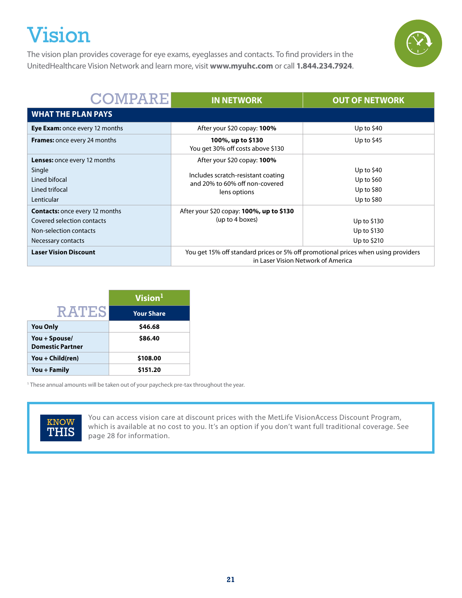### Vision





| <b>COMPARE</b>                                                                                                      | <b>IN NETWORK</b>                                                                                                       | <b>OUT OF NETWORK</b>                                   |  |
|---------------------------------------------------------------------------------------------------------------------|-------------------------------------------------------------------------------------------------------------------------|---------------------------------------------------------|--|
| <b>WHAT THE PLAN PAYS</b>                                                                                           |                                                                                                                         |                                                         |  |
| <b>Eye Exam:</b> once every 12 months                                                                               | After your \$20 copay: 100%                                                                                             | Up to $$40$                                             |  |
| <b>Frames:</b> once every 24 months                                                                                 | 100%, up to \$130<br>You get 30% off costs above \$130                                                                  | Up to $$45$                                             |  |
| <b>Lenses:</b> once every 12 months<br>Single<br>Lined bifocal<br>Lined trifocal<br>Lenticular                      | After your \$20 copay: 100%<br>Includes scratch-resistant coating<br>and 20% to 60% off non-covered<br>lens options     | Up to $$40$<br>Up to $$60$<br>Up to \$80<br>Up to $$80$ |  |
| <b>Contacts:</b> once every 12 months<br>Covered selection contacts<br>Non-selection contacts<br>Necessary contacts | After your \$20 copay: <b>100%, up to \$130</b><br>(up to 4 boxes)                                                      | Up to $$130$<br>Up to \$130<br>Up to \$210              |  |
| <b>Laser Vision Discount</b>                                                                                        | You get 15% off standard prices or 5% off promotional prices when using providers<br>in Laser Vision Network of America |                                                         |  |

|                                          | Vision <sup>1</sup> |
|------------------------------------------|---------------------|
| <b>RATES</b>                             | <b>Your Share</b>   |
| <b>You Only</b>                          | \$46.68             |
| You + Spouse/<br><b>Domestic Partner</b> | \$86.40             |
| You + Child(ren)                         | \$108.00            |
| You + Family                             | \$151.20            |

<sup>1</sup> These annual amounts will be taken out of your paycheck pre-tax throughout the year.



You can access vision care at discount prices with the MetLife VisionAccess Discount Program, which is available at no cost to you. It's an option if you don't want full traditional coverage. See page 28 for information.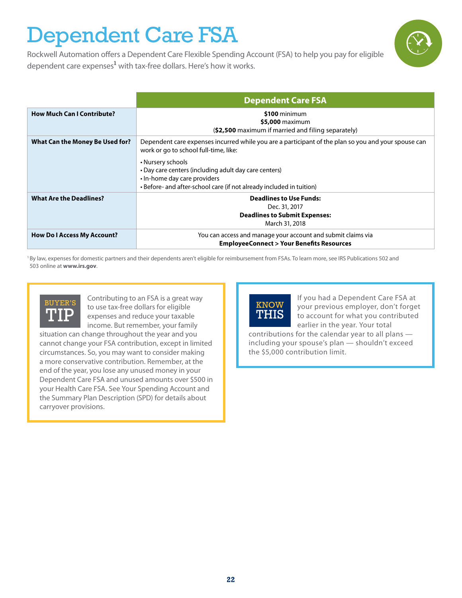### Dependent Care FSA

Rockwell Automation offers a Dependent Care Flexible Spending Account (FSA) to help you pay for eligible dependent care expenses<sup>1</sup> with tax-free dollars. Here's how it works.

|                                    | <b>Dependent Care FSA</b>                                                                                                                                                          |
|------------------------------------|------------------------------------------------------------------------------------------------------------------------------------------------------------------------------------|
| <b>How Much Can I Contribute?</b>  | \$100 minimum<br>\$5,000 maximum<br>(\$2,500 maximum if married and filing separately)                                                                                             |
| What Can the Money Be Used for?    | Dependent care expenses incurred while you are a participant of the plan so you and your spouse can<br>work or go to school full-time, like:                                       |
|                                    | • Nursery schools<br>• Day care centers (including adult day care centers)<br>• In-home day care providers<br>• Before- and after-school care (if not already included in tuition) |
| <b>What Are the Deadlines?</b>     | <b>Deadlines to Use Funds:</b>                                                                                                                                                     |
|                                    | Dec. 31, 2017<br><b>Deadlines to Submit Expenses:</b><br>March 31, 2018                                                                                                            |
| <b>How Do I Access My Account?</b> | You can access and manage your account and submit claims via<br><b>EmployeeConnect &gt; Your Benefits Resources</b>                                                                |

<sup>1</sup>By law, expenses for domestic partners and their dependents aren't eligible for reimbursement from FSAs. To learn more, see IRS Publications 502 and 503 online at **www.irs.gov**.



Contributing to an FSA is a great way to use tax-free dollars for eligible expenses and reduce your taxable income. But remember, your family

situation can change throughout the year and you cannot change your FSA contribution, except in limited circumstances. So, you may want to consider making a more conservative contribution. Remember, at the end of the year, you lose any unused money in your Dependent Care FSA and unused amounts over \$500 in your Health Care FSA. See Your Spending Account and the Summary Plan Description (SPD) for details about carryover provisions.



If you had a Dependent Care FSA at your previous employer, don't forget to account for what you contributed earlier in the year. Your total

contributions for the calendar year to all plans including your spouse's plan — shouldn't exceed the \$5,000 contribution limit.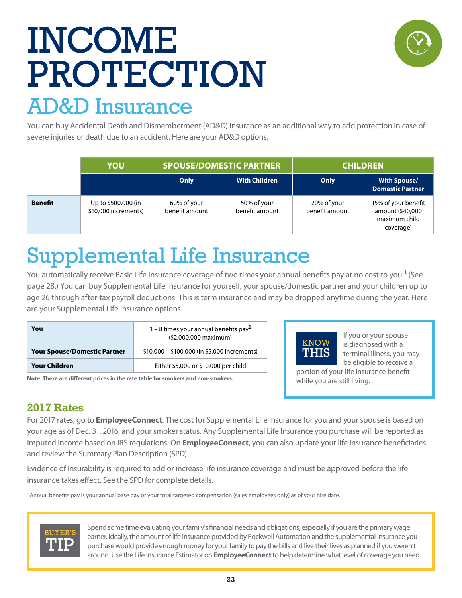## INCOME PROTECTION



### AD&D Insurance

You can buy Accidental Death and Dismemberment (AD&D) Insurance as an additional way to add protection in case of severe injuries or death due to an accident. Here are your AD&D options.

|                | YOU                                         | <b>SPOUSE/DOMESTIC PARTNER</b> |                               |                               | <b>CHILDREN</b>                                                       |
|----------------|---------------------------------------------|--------------------------------|-------------------------------|-------------------------------|-----------------------------------------------------------------------|
|                |                                             | Only                           | <b>With Children</b>          | Only                          | <b>With Spouse/</b><br><b>Domestic Partner</b>                        |
| <b>Benefit</b> | Up to \$500,000 (in<br>\$10,000 increments) | 60% of your<br>benefit amount  | 50% of your<br>benefit amount | 20% of your<br>benefit amount | 15% of your benefit<br>amount (\$40,000<br>maximum child<br>coverage) |

### Supplemental Life Insurance

You automatically receive Basic Life Insurance coverage of two times your annual benefits pay at no cost to you.**<sup>1</sup>**(See page 28.) You can buy Supplemental Life Insurance for yourself, your spouse/domestic partner and your children up to age 26 through after-tax payroll deductions. This is term insurance and may be dropped anytime during the year. Here are your Supplemental Life Insurance options.

| You                                 | 1 – 8 times your annual benefits pay <sup>1</sup><br>(\$2,000,000 maximum) |
|-------------------------------------|----------------------------------------------------------------------------|
| <b>Your Spouse/Domestic Partner</b> | \$10,000 - \$100,000 (in \$5,000 increments)                               |
| Your Children                       | Either \$5,000 or \$10,000 per child                                       |

**Note: There are different prices in the rate table for smokers and non-smokers.**



If you or your spouse is diagnosed with a terminal illness, you may be eligible to receive a

portion of your life insurance benefit while you are still living.

### **2017 Rates**

For 2017 rates, go to **EmployeeConnect**. The cost for Supplemental Life Insurance for you and your spouse is based on your age as of Dec. 31, 2016, and your smoker status. Any Supplemental Life Insurance you purchase will be reported as imputed income based on IRS regulations. On **EmployeeConnect**, you can also update your life insurance beneficiaries and review the Summary Plan Description (SPD).

Evidence of Insurability is required to add or increase life insurance coverage and must be approved before the life insurance takes effect. See the SPD for complete details.

1 Annual benefits pay is your annual base pay or your total targeted compensation (sales employees only) as of your hire date.



Spend some time evaluating your family's financial needs and obligations, especially if you are the primary wage earner. Ideally, the amount of life insurance provided by Rockwell Automation and the supplemental insurance you purchase would provide enough money for your family to pay the bills and live their lives as planned if you weren't around. Use the Life Insurance Estimator on **EmployeeConnect** to help determine what level of coverage you need.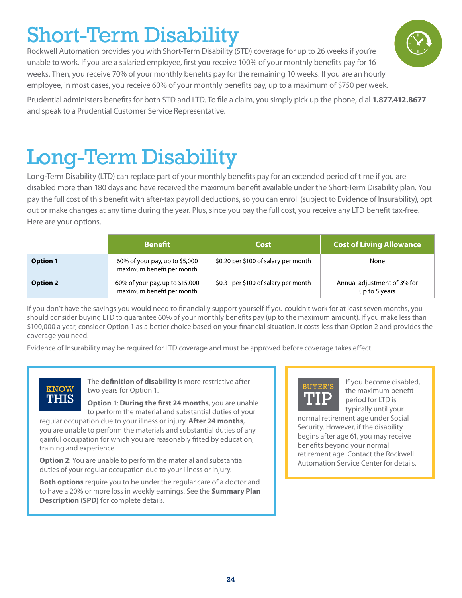#### **24**

### Short-Term Disability

Rockwell Automation provides you with Short-Term Disability (STD) coverage for up to 26 weeks if you're unable to work. If you are a salaried employee, first you receive 100% of your monthly benefits pay for 16 weeks. Then, you receive 70% of your monthly benefits pay for the remaining 10 weeks. If you are an hourly employee, in most cases, you receive 60% of your monthly benefits pay, up to a maximum of \$750 per week.

Prudential administers benefits for both STD and LTD. To file a claim, you simply pick up the phone, dial **1.877.412.8677** and speak to a Prudential Customer Service Representative.

### Long-Term Disability

Long-Term Disability (LTD) can replace part of your monthly benefits pay for an extended period of time if you are disabled more than 180 days and have received the maximum benefit available under the Short-Term Disability plan. You pay the full cost of this benefit with after-tax payroll deductions, so you can enroll (subject to Evidence of Insurability), opt out or make changes at any time during the year. Plus, since you pay the full cost, you receive any LTD benefit tax-free. Here are your options.

**Option 1** 60% of your pay, up to \$5,000 maximum benefit per month \$0.20 per \$100 of salary per month None **Option 2** 60% of your pay, up to \$15,000 maximum benefit per month \$0.31 per \$100 of salary per month Annual adjustment of 3% for up to 5 years If you don't have the savings you would need to financially support yourself if you couldn't work for at least seven months, you

**Benefit Cost Cost of Living Allowance**

should consider buying LTD to guarantee 60% of your monthly benefits pay (up to the maximum amount). If you make less than \$100,000 a year, consider Option 1 as a better choice based on your financial situation. It costs less than Option 2 and provides the coverage you need.

Evidence of Insurability may be required for LTD coverage and must be approved before coverage takes effect.

### **KNOW** THIS

The **definition of disability** is more restrictive after two years for Option 1.

**Option 1**: **During the first 24 months**, you are unable to perform the material and substantial duties of your

regular occupation due to your illness or injury. **After 24 months**, you are unable to perform the materials and substantial duties of any gainful occupation for which you are reasonably fitted by education, training and experience.

**Option 2**: You are unable to perform the material and substantial duties of your regular occupation due to your illness or injury.

**Both options** require you to be under the regular care of a doctor and to have a 20% or more loss in weekly earnings. See the **Summary Plan Description (SPD)** for complete details.



normal retirement age under Social Security. However, if the disability begins after age 61, you may receive benefits beyond your normal retirement age. Contact the Rockwell Automation Service Center for details.

BUYER'S TIP

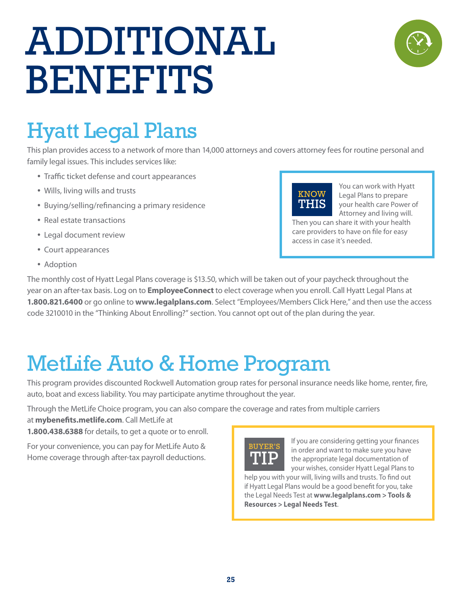## ADDITIONAL BENEFITS



### Hyatt Legal Plans

This plan provides access to a network of more than 14,000 attorneys and covers attorney fees for routine personal and family legal issues. This includes services like:

- Traffic ticket defense and court appearances
- Wills, living wills and trusts
- Buying/selling/refinancing a primary residence
- Real estate transactions
- Legal document review
- Court appearances
- Adoption



You can work with Hyatt Legal Plans to prepare your health care Power of Attorney and living will.

Then you can share it with your health care providers to have on file for easy access in case it's needed.

The monthly cost of Hyatt Legal Plans coverage is \$13.50, which will be taken out of your paycheck throughout the year on an after-tax basis. Log on to **EmployeeConnect** to elect coverage when you enroll. Call Hyatt Legal Plans at **1.800.821.6400** or go online to **www.legalplans.com**. Select "Employees/Members Click Here," and then use the access code 3210010 in the "Thinking About Enrolling?" section. You cannot opt out of the plan during the year.

### MetLife Auto & Home Program

This program provides discounted Rockwell Automation group rates for personal insurance needs like home, renter, fire, auto, boat and excess liability. You may participate anytime throughout the year.

Through the MetLife Choice program, you can also compare the coverage and rates from multiple carriers

at **mybenefits.metlife.com**. Call MetLife at

**1.800.438.6388** for details, to get a quote or to enroll.

For your convenience, you can pay for MetLife Auto & Home coverage through after-tax payroll deductions.



If you are considering getting your finances in order and want to make sure you have the appropriate legal documentation of your wishes, consider Hyatt Legal Plans to

help you with your will, living wills and trusts. To find out if Hyatt Legal Plans would be a good benefit for you, take the Legal Needs Test at **www.legalplans.com > Tools & Resources > Legal Needs Test**.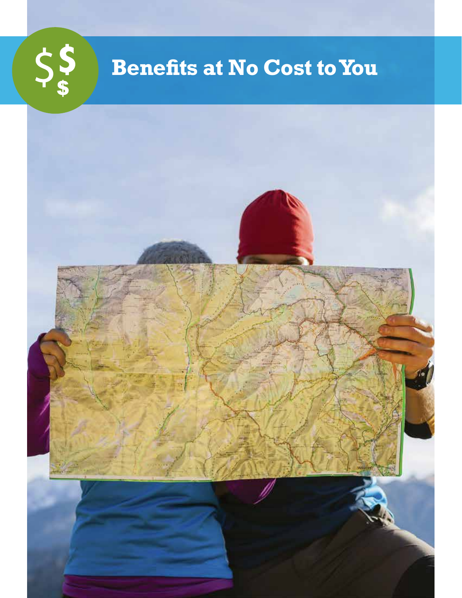

### **Benefits at No Cost to You**

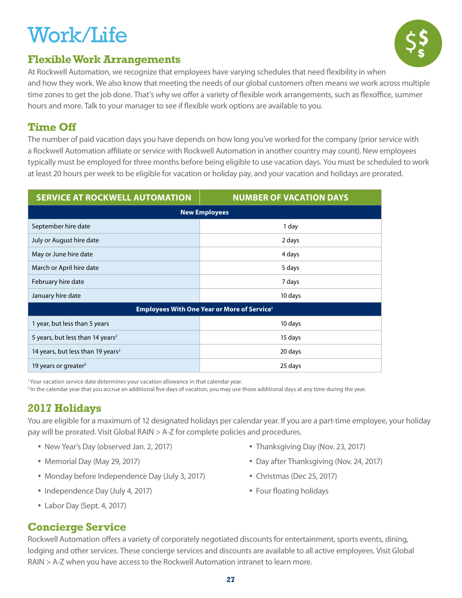### Work/Life

### **Flexible Work Arrangements**



At Rockwell Automation, we recognize that employees have varying schedules that need flexibility in when and how they work. We also know that meeting the needs of our global customers often means we work across multiple time zones to get the job done. That's why we offer a variety of flexible work arrangements, such as flexoffice, summer hours and more. Talk to your manager to see if flexible work options are available to you.

#### **Time Off**

The number of paid vacation days you have depends on how long you've worked for the company (prior service with a Rockwell Automation affiliate or service with Rockwell Automation in another country may count). New employees typically must be employed for three months before being eligible to use vacation days. You must be scheduled to work at least 20 hours per week to be eligible for vacation or holiday pay, and your vacation and holidays are prorated.

| <b>SERVICE AT ROCKWELL AUTOMATION</b>                         | <b>NUMBER OF VACATION DAYS</b> |  |  |  |
|---------------------------------------------------------------|--------------------------------|--|--|--|
| <b>New Employees</b>                                          |                                |  |  |  |
| September hire date                                           | 1 day                          |  |  |  |
| July or August hire date                                      | 2 days                         |  |  |  |
| May or June hire date                                         | 4 days                         |  |  |  |
| March or April hire date                                      | 5 days                         |  |  |  |
| February hire date                                            | 7 days                         |  |  |  |
| January hire date                                             | 10 days                        |  |  |  |
| <b>Employees With One Year or More of Service<sup>1</sup></b> |                                |  |  |  |
| 1 year, but less than 5 years                                 | 10 days                        |  |  |  |
| 5 years, but less than 14 years <sup>2</sup>                  | 15 days                        |  |  |  |
| 14 years, but less than 19 years <sup>2</sup>                 | 20 days                        |  |  |  |
| 19 years or greater <sup>2</sup>                              | 25 days                        |  |  |  |

<sup>1.</sup>Your vacation service date determines your vacation allowance in that calendar year.

<sup>2.</sup>In the calendar year that you accrue an additional five days of vacation, you may use those additional days at any time during the year.

#### **2017 Holidays**

You are eligible for a maximum of 12 designated holidays per calendar year. If you are a part-time employee, your holiday pay will be prorated. Visit Global RAIN > A-Z for complete policies and procedures.

- New Year's Day (observed Jan. 2, 2017)
- Memorial Day (May 29, 2017)
- Monday before Independence Day (July 3, 2017)
- Independence Day (July 4, 2017)
- Labor Day (Sept. 4, 2017)
- Thanksgiving Day (Nov. 23, 2017)
- Day after Thanksgiving (Nov. 24, 2017)
- Christmas (Dec 25, 2017)
- Four floating holidays

#### **Concierge Service**

Rockwell Automation offers a variety of corporately negotiated discounts for entertainment, sports events, dining, lodging and other services. These concierge services and discounts are available to all active employees. Visit Global RAIN > A-Z when you have access to the Rockwell Automation intranet to learn more.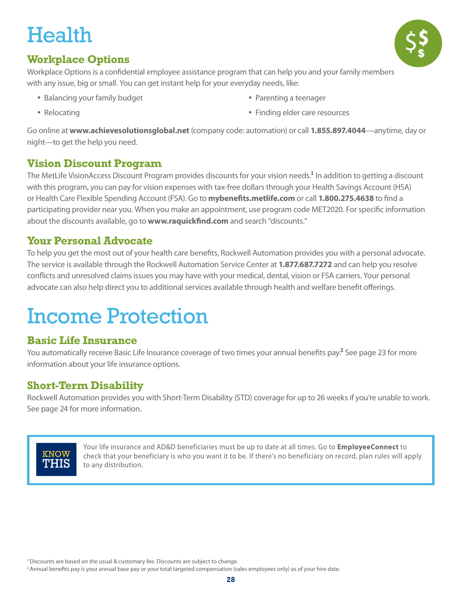### **Health**



#### **Workplace Options**

Workplace Options is a confidential employee assistance program that can help you and your family members with any issue, big or small. You can get instant help for your everyday needs, like:

• Balancing your family budget

• Parenting a teenager

• Relocating

• Finding elder care resources

Go online at **www.achievesolutionsglobal.net** (company code: automation) or call **1.855.897.4044**—anytime, day or night—to get the help you need.

#### **Vision Discount Program**

The MetLife VisionAccess Discount Program provides discounts for your vision needs.**<sup>1</sup>** In addition to getting a discount with this program, you can pay for vision expenses with tax-free dollars through your Health Savings Account (HSA) or Health Care Flexible Spending Account (FSA). Go to **mybenefits.metlife.com** or call **1.800.275.4638** to find a participating provider near you. When you make an appointment, use program code MET2020. For specific information about the discounts available, go to **www.raquickfind.com** and search "discounts."

#### **Your Personal Advocate**

To help you get the most out of your health care benefits, Rockwell Automation provides you with a personal advocate. The service is available through the Rockwell Automation Service Center at **1.877.687.7272** and can help you resolve conflicts and unresolved claims issues you may have with your medical, dental, vision or FSA carriers. Your personal advocate can also help direct you to additional services available through health and welfare benefit offerings.

### Income Protection

#### **Basic Life Insurance**

You automatically receive Basic Life Insurance coverage of two times your annual benefits pay.**<sup>2</sup>** See page 23 for more information about your life insurance options.

#### **Short-Term Disability**

Rockwell Automation provides you with Short-Term Disability (STD) coverage for up to 26 weeks if you're unable to work. See page 24 for more information.



Your life insurance and AD&D beneficiaries must be up to date at all times. Go to **EmployeeConnect** to check that your beneficiary is who you want it to be. If there's no beneficiary on record, plan rules will apply to any distribution.

<sup>1</sup> Discounts are based on the usual & customary fee. Discounts are subject to change.

<sup>2</sup> Annual benefits pay is your annual base pay or your total targeted compensation (sales employees only) as of your hire date.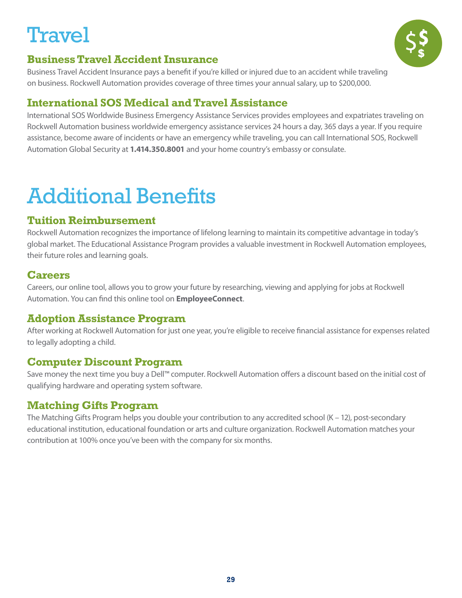### **Travel**



#### **Business Travel Accident Insurance**

Business Travel Accident Insurance pays a benefit if you're killed or injured due to an accident while traveling on business. Rockwell Automation provides coverage of three times your annual salary, up to \$200,000.

#### **International SOS Medical and Travel Assistance**

International SOS Worldwide Business Emergency Assistance Services provides employees and expatriates traveling on Rockwell Automation business worldwide emergency assistance services 24 hours a day, 365 days a year. If you require assistance, become aware of incidents or have an emergency while traveling, you can call International SOS, Rockwell Automation Global Security at **1.414.350.8001** and your home country's embassy or consulate.

### Additional Benefits

#### **Tuition Reimbursement**

Rockwell Automation recognizes the importance of lifelong learning to maintain its competitive advantage in today's global market. The Educational Assistance Program provides a valuable investment in Rockwell Automation employees, their future roles and learning goals.

#### **Careers**

Careers, our online tool, allows you to grow your future by researching, viewing and applying for jobs at Rockwell Automation. You can find this online tool on **EmployeeConnect**.

#### **Adoption Assistance Program**

After working at Rockwell Automation for just one year, you're eligible to receive financial assistance for expenses related to legally adopting a child.

#### **Computer Discount Program**

Save money the next time you buy a Dell™ computer. Rockwell Automation offers a discount based on the initial cost of qualifying hardware and operating system software.

#### **Matching Gifts Program**

The Matching Gifts Program helps you double your contribution to any accredited school (K – 12), post-secondary educational institution, educational foundation or arts and culture organization. Rockwell Automation matches your contribution at 100% once you've been with the company for six months.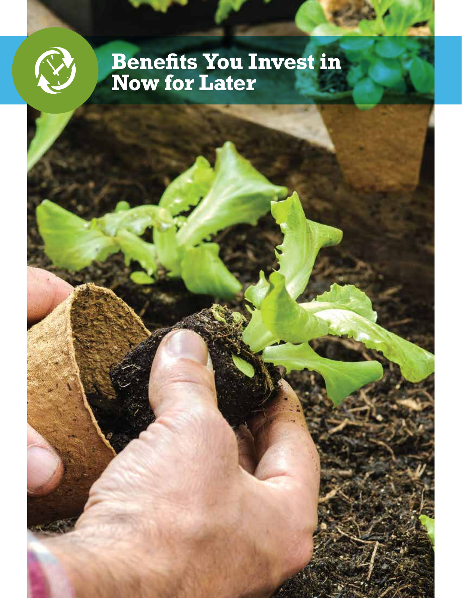

### **Benefits You Invest in Now for Later**

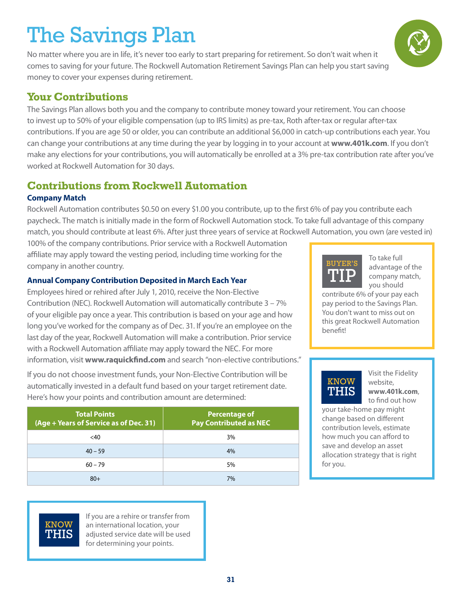### The Savings Plan

No matter where you are in life, it's never too early to start preparing for retirement. So don't wait when it comes to saving for your future. The Rockwell Automation Retirement Savings Plan can help you start saving money to cover your expenses during retirement.

#### **Your Contributions**

The Savings Plan allows both you and the company to contribute money toward your retirement. You can choose to invest up to 50% of your eligible compensation (up to IRS limits) as pre-tax, Roth after-tax or regular after-tax contributions. If you are age 50 or older, you can contribute an additional \$6,000 in catch-up contributions each year. You can change your contributions at any time during the year by logging in to your account at **www.401k.com**. If you don't make any elections for your contributions, you will automatically be enrolled at a 3% pre-tax contribution rate after you've worked at Rockwell Automation for 30 days.

#### **Contributions from Rockwell Automation**

#### **Company Match**

Rockwell Automation contributes \$0.50 on every \$1.00 you contribute, up to the first 6% of pay you contribute each paycheck. The match is initially made in the form of Rockwell Automation stock. To take full advantage of this company match, you should contribute at least 6%. After just three years of service at Rockwell Automation, you own (are vested in)

100% of the company contributions. Prior service with a Rockwell Automation affiliate may apply toward the vesting period, including time working for the company in another country.

#### **Annual Company Contribution Deposited in March Each Year**

Employees hired or rehired after July 1, 2010, receive the Non-Elective Contribution (NEC). Rockwell Automation will automatically contribute 3 – 7% of your eligible pay once a year. This contribution is based on your age and how long you've worked for the company as of Dec. 31. If you're an employee on the last day of the year, Rockwell Automation will make a contribution. Prior service with a Rockwell Automation affiliate may apply toward the NEC. For more information, visit **www.raquickfind.com** and search "non-elective contributions."

If you do not choose investment funds, your Non-Elective Contribution will be automatically invested in a default fund based on your target retirement date. Here's how your points and contribution amount are determined:

| <b>Total Points</b><br>(Age + Years of Service as of Dec. 31) | <b>Percentage of</b><br><b>Pay Contributed as NEC</b> |
|---------------------------------------------------------------|-------------------------------------------------------|
| <40                                                           | 3%                                                    |
| $40 - 59$                                                     | 4%                                                    |
| $60 - 79$                                                     | 5%                                                    |
| $80+$                                                         | 7%                                                    |



To take full advantage of the company match, you should

contribute 6% of your pay each pay period to the Savings Plan. You don't want to miss out on this great Rockwell Automation benefit!

### **KNOW** THIS

Visit the Fidelity website, **www.401k.com**, to find out how

your take-home pay might change based on different contribution levels, estimate how much you can afford to save and develop an asset allocation strategy that is right for you.



If you are a rehire or transfer from an international location, your adjusted service date will be used for determining your points.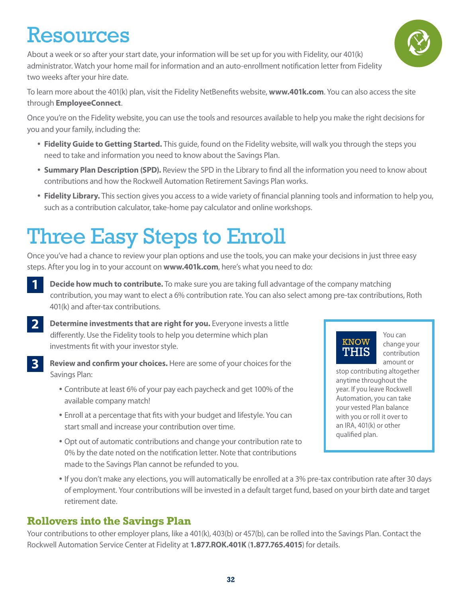### Resources

About a week or so after your start date, your information will be set up for you with Fidelity, our 401(k) administrator. Watch your home mail for information and an auto-enrollment notification letter from Fidelity two weeks after your hire date.

To learn more about the 401(k) plan, visit the Fidelity NetBenefits website, **www.401k.com**. You can also access the site through **EmployeeConnect**.

Once you're on the Fidelity website, you can use the tools and resources available to help you make the right decisions for you and your family, including the:

- **Fidelity Guide to Getting Started.** This guide, found on the Fidelity website, will walk you through the steps you need to take and information you need to know about the Savings Plan.
- **Summary Plan Description (SPD).** Review the SPD in the Library to find all the information you need to know about contributions and how the Rockwell Automation Retirement Savings Plan works.
- **Fidelity Library.** This section gives you access to a wide variety of financial planning tools and information to help you, such as a contribution calculator, take-home pay calculator and online workshops.

### Three Easy Steps to Enroll

Once you've had a chance to review your plan options and use the tools, you can make your decisions in just three easy steps. After you log in to your account on **www.401k.com**, here's what you need to do:

- **1 Decide how much to contribute.** To make sure you are taking full advantage of the company matching contribution, you may want to elect a 6% contribution rate. You can also select among pre-tax contributions, Roth 401(k) and after-tax contributions.
- **2 Determine investments that are right for you.** Everyone invests a little differently. Use the Fidelity tools to help you determine which plan investments fit with your investor style.
- **3 Review and confirm your choices.** Here are some of your choices for the Savings Plan:
	- Contribute at least 6% of your pay each paycheck and get 100% of the available company match!
	- Enroll at a percentage that fits with your budget and lifestyle. You can start small and increase your contribution over time.
	- Opt out of automatic contributions and change your contribution rate to 0% by the date noted on the notification letter. Note that contributions made to the Savings Plan cannot be refunded to you.
	- If you don't make any elections, you will automatically be enrolled at a 3% pre-tax contribution rate after 30 days of employment. Your contributions will be invested in a default target fund, based on your birth date and target retirement date.

#### **Rollovers into the Savings Plan**

Your contributions to other employer plans, like a 401(k), 403(b) or 457(b), can be rolled into the Savings Plan. Contact the Rockwell Automation Service Center at Fidelity at **1.877.ROK.401K** (**1.877.765.4015**) for details.





You can change your contribution amount or

stop contributing altogether anytime throughout the year. If you leave Rockwell Automation, you can take your vested Plan balance with you or roll it over to an IRA, 401(k) or other qualified plan.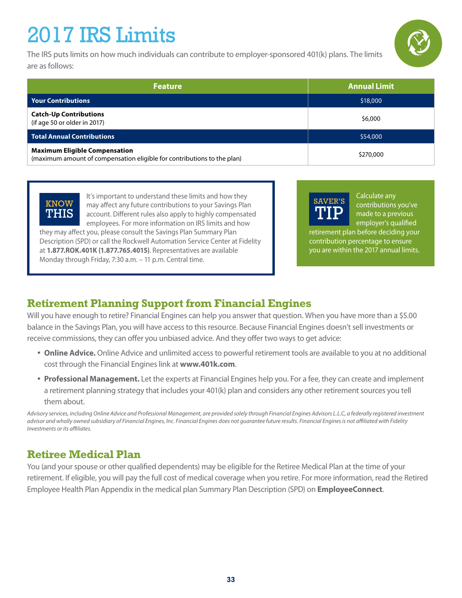### 2017 IRS Limits

The IRS puts limits on how much individuals can contribute to employer-sponsored 401(k) plans. The limits are as follows:

| <b>Feature</b>                                                                                                  | <b>Annual Limit</b> |
|-----------------------------------------------------------------------------------------------------------------|---------------------|
| <b>Your Contributions</b>                                                                                       | \$18,000            |
| <b>Catch-Up Contributions</b><br>(if age 50 or older in 2017)                                                   | \$6,000             |
| <b>Total Annual Contributions</b>                                                                               | \$54,000            |
| <b>Maximum Eligible Compensation</b><br>(maximum amount of compensation eligible for contributions to the plan) | \$270,000           |

It's important to understand these limits and how they may affect any future contributions to your Savings Plan account. Different rules also apply to highly compensated employees. For more information on IRS limits and how **KNOW** 

they may affect you, please consult the Savings Plan Summary Plan Description (SPD) or call the Rockwell Automation Service Center at Fidelity at **1.877.ROK.401K (1.877.765.4015)**. Representatives are available Monday through Friday, 7:30 a.m. – 11 p.m. Central time.

SAVER'S TIP

Calculate any contributions you've made to a previous employer's qualified

retirement plan before deciding your contribution percentage to ensure you are within the 2017 annual limits.

#### **Retirement Planning Support from Financial Engines**

Will you have enough to retire? Financial Engines can help you answer that question. When you have more than a \$5.00 balance in the Savings Plan, you will have access to this resource. Because Financial Engines doesn't sell investments or receive commissions, they can offer you unbiased advice. And they offer two ways to get advice:

- **Online Advice.** Online Advice and unlimited access to powerful retirement tools are available to you at no additional cost through the Financial Engines link at **www.401k.com**.
- **Professional Management.** Let the experts at Financial Engines help you. For a fee, they can create and implement a retirement planning strategy that includes your 401(k) plan and considers any other retirement sources you tell them about.

*Advisory services, including Online Advice and Professional Management, are provided solely through Financial Engines Advisors L.L.C, a federally registered investment advisor and wholly owned subsidiary of Financial Engines, Inc. Financial Engines does not guarantee future results. Financial Engines is not affiliated with Fidelity Investments or its affiliates.*

#### **Retiree Medical Plan**

THIS

You (and your spouse or other qualified dependents) may be eligible for the Retiree Medical Plan at the time of your retirement. If eligible, you will pay the full cost of medical coverage when you retire. For more information, read the Retired Employee Health Plan Appendix in the medical plan Summary Plan Description (SPD) on **EmployeeConnect**.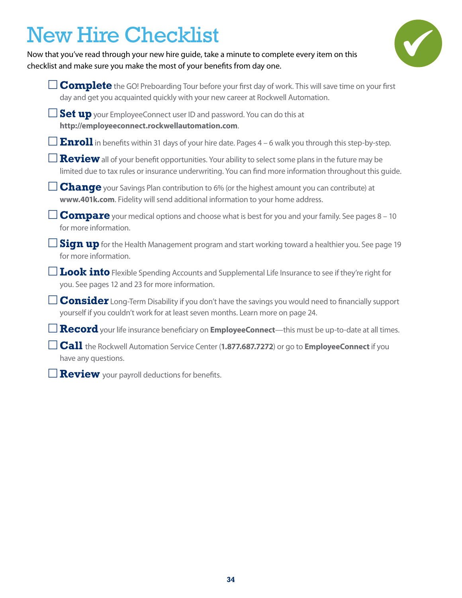### New Hire Checklist

Now that you've read through your new hire guide, take a minute to complete every item on this checklist and make sure you make the most of your benefits from day one.



| <b>Complete</b> the GO! Preboarding Tour before your first day of work. This will save time on your first<br>day and get you acquainted quickly with your new career at Rockwell Automation.                        |
|---------------------------------------------------------------------------------------------------------------------------------------------------------------------------------------------------------------------|
| <b>Set up</b> your EmployeeConnect user ID and password. You can do this at<br>http://employeeconnect.rockwellautomation.com.                                                                                       |
| <b>Enroll</b> in benefits within 31 days of your hire date. Pages $4 - 6$ walk you through this step-by-step.                                                                                                       |
| <b>Review</b> all of your benefit opportunities. Your ability to select some plans in the future may be<br>limited due to tax rules or insurance underwriting. You can find more information throughout this guide. |
| <b>Change</b> your Savings Plan contribution to 6% (or the highest amount you can contribute) at<br>www.401k.com. Fidelity will send additional information to your home address.                                   |
| <b>Compare</b> your medical options and choose what is best for you and your family. See pages 8 – 10<br>for more information.                                                                                      |
| Sign up for the Health Management program and start working toward a healthier you. See page 19<br>for more information.                                                                                            |
| <b>Look into</b> Flexible Spending Accounts and Supplemental Life Insurance to see if they're right for<br>you. See pages 12 and 23 for more information.                                                           |
| <b>Consider</b> Long-Term Disability if you don't have the savings you would need to financially support<br>yourself if you couldn't work for at least seven months. Learn more on page 24.                         |
| $\Box$ $\bf{Record}$ your life insurance beneficiary on EmployeeConnect—this must be up-to-date at all times.                                                                                                       |
| $\Box$ <b>Call</b> the Rockwell Automation Service Center ( <b>1.877.687.7272</b> ) or go to <b>EmployeeConnect</b> if you<br>have any questions.                                                                   |
| <b>Review</b> your payroll deductions for benefits.                                                                                                                                                                 |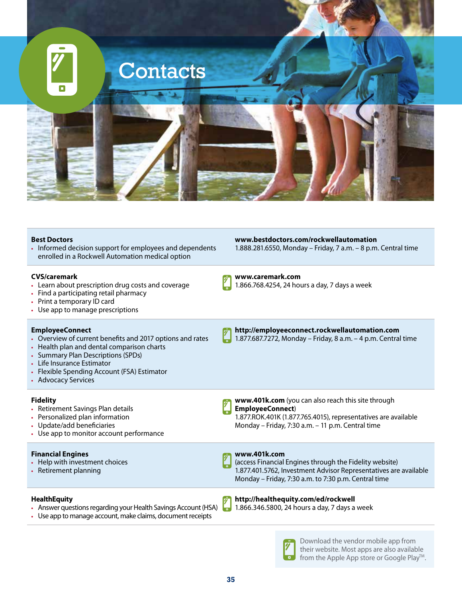

| <b>Best Doctors</b><br>• Informed decision support for employees and dependents<br>enrolled in a Rockwell Automation medical option                                                                                                                                         | www.bestdoctors.com/rockwellautomation<br>1.888.281.6550, Monday - Friday, 7 a.m. - 8 p.m. Central time                                                                                             |
|-----------------------------------------------------------------------------------------------------------------------------------------------------------------------------------------------------------------------------------------------------------------------------|-----------------------------------------------------------------------------------------------------------------------------------------------------------------------------------------------------|
| <b>CVS/caremark</b><br>• Learn about prescription drug costs and coverage<br>• Find a participating retail pharmacy<br>• Print a temporary ID card<br>• Use app to manage prescriptions                                                                                     | www.caremark.com<br>1.866.768.4254, 24 hours a day, 7 days a week                                                                                                                                   |
| <b>EmployeeConnect</b><br>• Overview of current benefits and 2017 options and rates<br>• Health plan and dental comparison charts<br>• Summary Plan Descriptions (SPDs)<br>• Life Insurance Estimator<br>• Flexible Spending Account (FSA) Estimator<br>• Advocacy Services | http://employeeconnect.rockwellautomation.com<br>1.877.687.7272, Monday - Friday, 8 a.m. - 4 p.m. Central time                                                                                      |
| <b>Fidelity</b><br>• Retirement Savings Plan details<br>• Personalized plan information<br>• Update/add beneficiaries<br>• Use app to monitor account performance                                                                                                           | www.401k.com (you can also reach this site through<br>EmployeeConnect)<br>1.877.ROK.401K (1.877.765.4015), representatives are available<br>Monday - Friday, 7:30 a.m. - 11 p.m. Central time       |
| <b>Financial Engines</b><br>• Help with investment choices<br>• Retirement planning                                                                                                                                                                                         | www.401k.com<br>(access Financial Engines through the Fidelity website)<br>1.877.401.5762, Investment Advisor Representatives are available<br>Monday - Friday, 7:30 a.m. to 7:30 p.m. Central time |
| <b>HealthEquity</b><br>• Answer questions regarding your Health Savings Account (HSA)<br>• Use app to manage account, make claims, document receipts                                                                                                                        | http://healthequity.com/ed/rockwell<br>1.866.346.5800, 24 hours a day, 7 days a week                                                                                                                |



Download the vendor mobile app from their website. Most apps are also available from the Apple App store or Google Play™.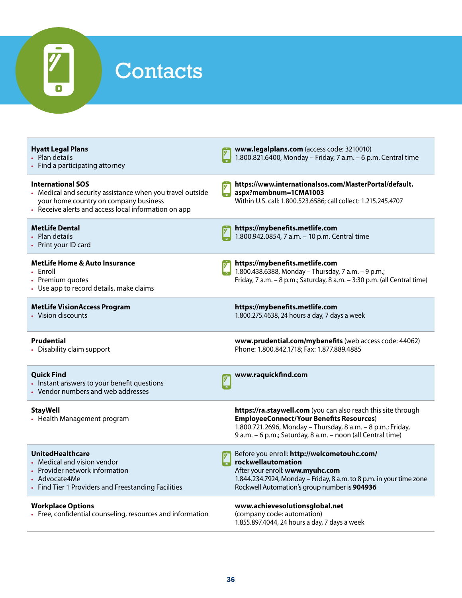

| <b>Hyatt Legal Plans</b><br>• Plan details<br>• Find a participating attorney                                                                                                          | www.legalplans.com (access code: 3210010)<br>1.800.821.6400, Monday - Friday, 7 a.m. - 6 p.m. Central time                                                                                                                                     |
|----------------------------------------------------------------------------------------------------------------------------------------------------------------------------------------|------------------------------------------------------------------------------------------------------------------------------------------------------------------------------------------------------------------------------------------------|
| <b>International SOS</b><br>• Medical and security assistance when you travel outside<br>your home country on company business<br>• Receive alerts and access local information on app | https://www.internationalsos.com/MasterPortal/default.<br>aspx?membnum=1CMA1003<br>Within U.S. call: 1.800.523.6586; call collect: 1.215.245.4707                                                                                              |
| <b>MetLife Dental</b><br>• Plan details<br>• Print your ID card                                                                                                                        | https://mybenefits.metlife.com<br>1.800.942.0854, 7 a.m. - 10 p.m. Central time                                                                                                                                                                |
| <b>MetLife Home &amp; Auto Insurance</b><br>• Enroll<br>• Premium quotes<br>• Use app to record details, make claims                                                                   | https://mybenefits.metlife.com<br>1.800.438.6388, Monday - Thursday, 7 a.m. - 9 p.m.;<br>Friday, 7 a.m. - 8 p.m.; Saturday, 8 a.m. - 3:30 p.m. (all Central time)                                                                              |
| <b>MetLife VisionAccess Program</b><br>• Vision discounts                                                                                                                              | https://mybenefits.metlife.com<br>1.800.275.4638, 24 hours a day, 7 days a week                                                                                                                                                                |
| <b>Prudential</b><br>• Disability claim support                                                                                                                                        | www.prudential.com/mybenefits (web access code: 44062)<br>Phone: 1.800.842.1718; Fax: 1.877.889.4885                                                                                                                                           |
| <b>Quick Find</b><br>• Instant answers to your benefit questions<br>• Vendor numbers and web addresses                                                                                 | www.raquickfind.com                                                                                                                                                                                                                            |
| <b>StayWell</b><br>• Health Management program                                                                                                                                         | https://ra.staywell.com (you can also reach this site through<br><b>EmployeeConnect/Your Benefits Resources)</b><br>1.800.721.2696, Monday - Thursday, 8 a.m. - 8 p.m.; Friday,<br>9 a.m. - 6 p.m.; Saturday, 8 a.m. - noon (all Central time) |
| <b>UnitedHealthcare</b><br>• Medical and vision vendor<br>• Provider network information<br>• Advocate4Me<br>• Find Tier 1 Providers and Freestanding Facilities                       | Before you enroll: http://welcometouhc.com/<br>rockwellautomation<br>After your enroll: www.myuhc.com<br>1.844.234.7924, Monday - Friday, 8 a.m. to 8 p.m. in your time zone<br>Rockwell Automation's group number is 904936                   |
| <b>Workplace Options</b><br>• Free, confidential counseling, resources and information                                                                                                 | www.achievesolutionsglobal.net<br>(company code: automation)<br>1.855.897.4044, 24 hours a day, 7 days a week                                                                                                                                  |